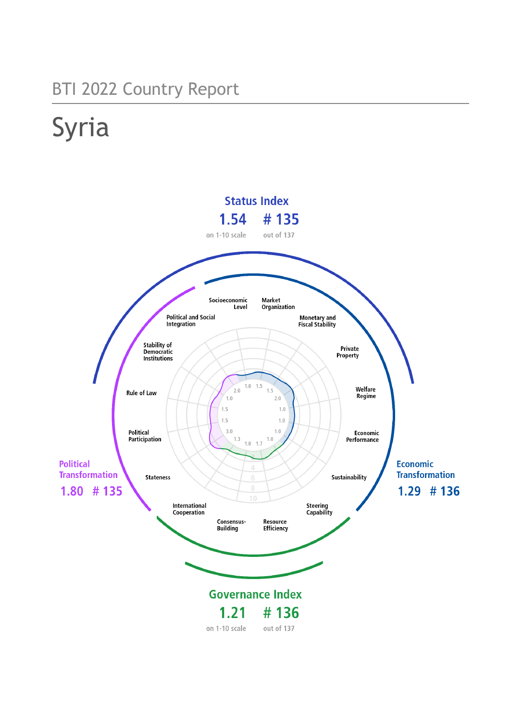# BTI 2022 Country Report

# Syria

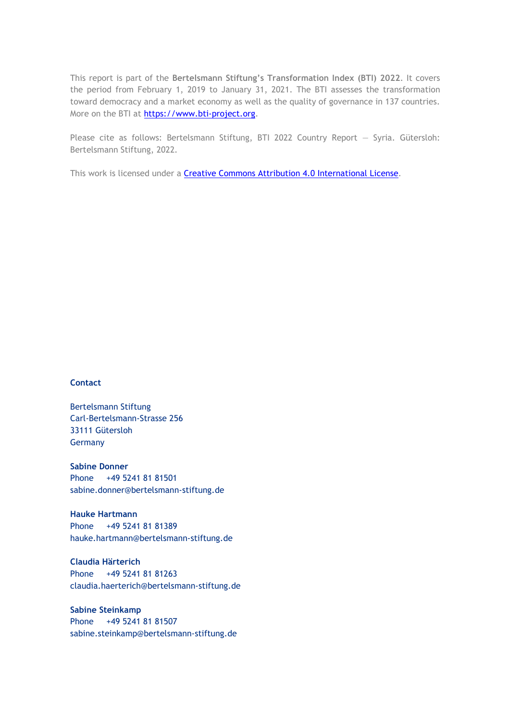This report is part of the **Bertelsmann Stiftung's Transformation Index (BTI) 2022**. It covers the period from February 1, 2019 to January 31, 2021. The BTI assesses the transformation toward democracy and a market economy as well as the quality of governance in 137 countries. More on the BTI at [https://www.bti-project.org.](https://www.bti-project.org/)

Please cite as follows: Bertelsmann Stiftung, BTI 2022 Country Report — Syria. Gütersloh: Bertelsmann Stiftung, 2022.

This work is licensed under a **Creative Commons Attribution 4.0 International License**.

#### **Contact**

Bertelsmann Stiftung Carl-Bertelsmann-Strasse 256 33111 Gütersloh Germany

**Sabine Donner** Phone +49 5241 81 81501 sabine.donner@bertelsmann-stiftung.de

**Hauke Hartmann** Phone +49 5241 81 81389 hauke.hartmann@bertelsmann-stiftung.de

**Claudia Härterich** Phone +49 5241 81 81263 claudia.haerterich@bertelsmann-stiftung.de

**Sabine Steinkamp** Phone +49 5241 81 81507 sabine.steinkamp@bertelsmann-stiftung.de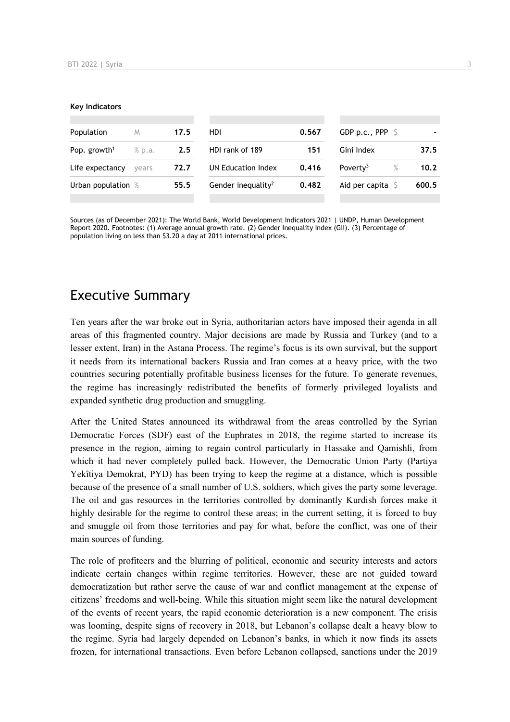#### **Key Indicators**

| Population               | M      | 17.5 | <b>HDI</b>                     | 0.567 | GDP p.c., PPP $\sqrt{5}$     |       |
|--------------------------|--------|------|--------------------------------|-------|------------------------------|-------|
| Pop. growth <sup>1</sup> | % p.a. | 2.5  | HDI rank of 189                | 151   | Gini Index                   | 37.5  |
| Life expectancy          | vears  | 72.7 | UN Education Index             | 0.416 | Poverty <sup>3</sup><br>$\%$ | 10.2  |
| Urban population %       |        | 55.5 | Gender inequality <sup>2</sup> | 0.482 | Aid per capita $\mathsf S$   | 600.5 |
|                          |        |      |                                |       |                              |       |

Sources (as of December 2021): The World Bank, World Development Indicators 2021 | UNDP, Human Development Report 2020. Footnotes: (1) Average annual growth rate. (2) Gender Inequality Index (GII). (3) Percentage of population living on less than \$3.20 a day at 2011 international prices.

# Executive Summary

Ten years after the war broke out in Syria, authoritarian actors have imposed their agenda in all areas of this fragmented country. Major decisions are made by Russia and Turkey (and to a lesser extent, Iran) in the Astana Process. The regime's focus is its own survival, but the support it needs from its international backers Russia and Iran comes at a heavy price, with the two countries securing potentially profitable business licenses for the future. To generate revenues, the regime has increasingly redistributed the benefits of formerly privileged loyalists and expanded synthetic drug production and smuggling.

After the United States announced its withdrawal from the areas controlled by the Syrian Democratic Forces (SDF) east of the Euphrates in 2018, the regime started to increase its presence in the region, aiming to regain control particularly in Hassake and Qamishli, from which it had never completely pulled back. However, the Democratic Union Party (Partiya Yekîtiya Demokrat, PYD) has been trying to keep the regime at a distance, which is possible because of the presence of a small number of U.S. soldiers, which gives the party some leverage. The oil and gas resources in the territories controlled by dominantly Kurdish forces make it highly desirable for the regime to control these areas; in the current setting, it is forced to buy and smuggle oil from those territories and pay for what, before the conflict, was one of their main sources of funding.

The role of profiteers and the blurring of political, economic and security interests and actors indicate certain changes within regime territories. However, these are not guided toward democratization but rather serve the cause of war and conflict management at the expense of citizens' freedoms and well-being. While this situation might seem like the natural development of the events of recent years, the rapid economic deterioration is a new component. The crisis was looming, despite signs of recovery in 2018, but Lebanon's collapse dealt a heavy blow to the regime. Syria had largely depended on Lebanon's banks, in which it now finds its assets frozen, for international transactions. Even before Lebanon collapsed, sanctions under the 2019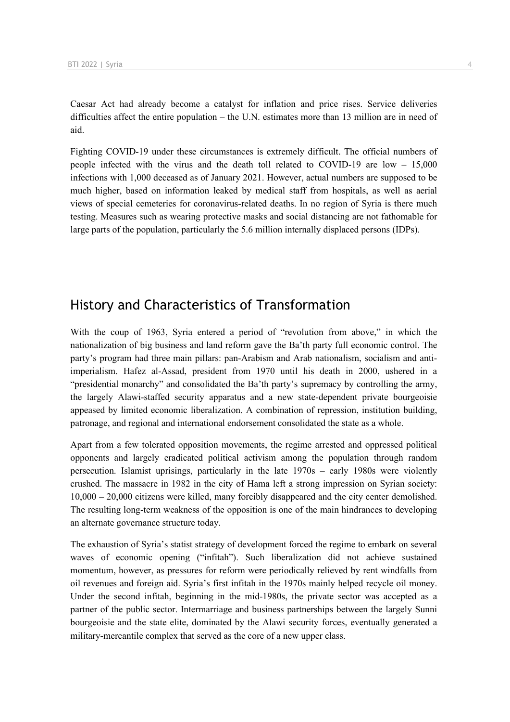Caesar Act had already become a catalyst for inflation and price rises. Service deliveries difficulties affect the entire population – the U.N. estimates more than 13 million are in need of aid.

Fighting COVID-19 under these circumstances is extremely difficult. The official numbers of people infected with the virus and the death toll related to COVID-19 are low – 15,000 infections with 1,000 deceased as of January 2021. However, actual numbers are supposed to be much higher, based on information leaked by medical staff from hospitals, as well as aerial views of special cemeteries for coronavirus-related deaths. In no region of Syria is there much testing. Measures such as wearing protective masks and social distancing are not fathomable for large parts of the population, particularly the 5.6 million internally displaced persons (IDPs).

# History and Characteristics of Transformation

With the coup of 1963, Syria entered a period of "revolution from above," in which the nationalization of big business and land reform gave the Ba'th party full economic control. The party's program had three main pillars: pan-Arabism and Arab nationalism, socialism and antiimperialism. Hafez al-Assad, president from 1970 until his death in 2000, ushered in a "presidential monarchy" and consolidated the Ba'th party's supremacy by controlling the army, the largely Alawi-staffed security apparatus and a new state-dependent private bourgeoisie appeased by limited economic liberalization. A combination of repression, institution building, patronage, and regional and international endorsement consolidated the state as a whole.

Apart from a few tolerated opposition movements, the regime arrested and oppressed political opponents and largely eradicated political activism among the population through random persecution. Islamist uprisings, particularly in the late 1970s – early 1980s were violently crushed. The massacre in 1982 in the city of Hama left a strong impression on Syrian society: 10,000 – 20,000 citizens were killed, many forcibly disappeared and the city center demolished. The resulting long-term weakness of the opposition is one of the main hindrances to developing an alternate governance structure today.

The exhaustion of Syria's statist strategy of development forced the regime to embark on several waves of economic opening ("infitah"). Such liberalization did not achieve sustained momentum, however, as pressures for reform were periodically relieved by rent windfalls from oil revenues and foreign aid. Syria's first infitah in the 1970s mainly helped recycle oil money. Under the second infitah, beginning in the mid-1980s, the private sector was accepted as a partner of the public sector. Intermarriage and business partnerships between the largely Sunni bourgeoisie and the state elite, dominated by the Alawi security forces, eventually generated a military-mercantile complex that served as the core of a new upper class.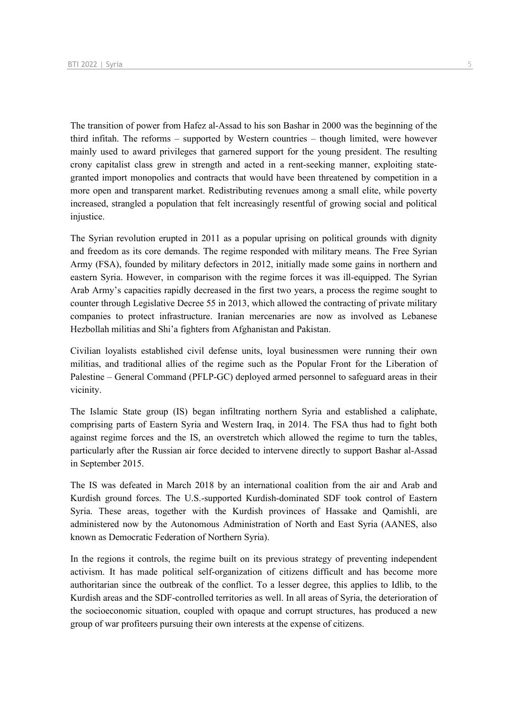The transition of power from Hafez al-Assad to his son Bashar in 2000 was the beginning of the third infitah. The reforms – supported by Western countries – though limited, were however mainly used to award privileges that garnered support for the young president. The resulting crony capitalist class grew in strength and acted in a rent-seeking manner, exploiting stategranted import monopolies and contracts that would have been threatened by competition in a more open and transparent market. Redistributing revenues among a small elite, while poverty increased, strangled a population that felt increasingly resentful of growing social and political injustice.

The Syrian revolution erupted in 2011 as a popular uprising on political grounds with dignity and freedom as its core demands. The regime responded with military means. The Free Syrian Army (FSA), founded by military defectors in 2012, initially made some gains in northern and eastern Syria. However, in comparison with the regime forces it was ill-equipped. The Syrian Arab Army's capacities rapidly decreased in the first two years, a process the regime sought to counter through Legislative Decree 55 in 2013, which allowed the contracting of private military companies to protect infrastructure. Iranian mercenaries are now as involved as Lebanese Hezbollah militias and Shi'a fighters from Afghanistan and Pakistan.

Civilian loyalists established civil defense units, loyal businessmen were running their own militias, and traditional allies of the regime such as the Popular Front for the Liberation of Palestine – General Command (PFLP-GC) deployed armed personnel to safeguard areas in their vicinity.

The Islamic State group (IS) began infiltrating northern Syria and established a caliphate, comprising parts of Eastern Syria and Western Iraq, in 2014. The FSA thus had to fight both against regime forces and the IS, an overstretch which allowed the regime to turn the tables, particularly after the Russian air force decided to intervene directly to support Bashar al-Assad in September 2015.

The IS was defeated in March 2018 by an international coalition from the air and Arab and Kurdish ground forces. The U.S.-supported Kurdish-dominated SDF took control of Eastern Syria. These areas, together with the Kurdish provinces of Hassake and Qamishli, are administered now by the Autonomous Administration of North and East Syria (AANES, also known as Democratic Federation of Northern Syria).

In the regions it controls, the regime built on its previous strategy of preventing independent activism. It has made political self-organization of citizens difficult and has become more authoritarian since the outbreak of the conflict. To a lesser degree, this applies to Idlib, to the Kurdish areas and the SDF-controlled territories as well. In all areas of Syria, the deterioration of the socioeconomic situation, coupled with opaque and corrupt structures, has produced a new group of war profiteers pursuing their own interests at the expense of citizens.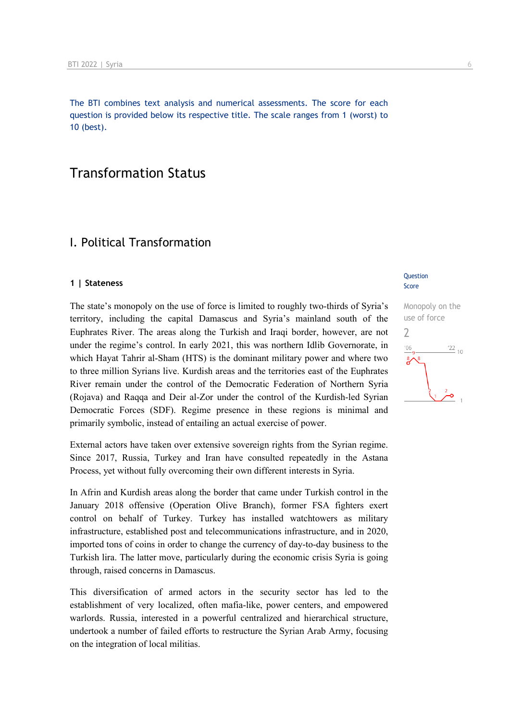The BTI combines text analysis and numerical assessments. The score for each question is provided below its respective title. The scale ranges from 1 (worst) to 10 (best).

# Transformation Status

# I. Political Transformation

#### **1 | Stateness**

The state's monopoly on the use of force is limited to roughly two-thirds of Syria's territory, including the capital Damascus and Syria's mainland south of the Euphrates River. The areas along the Turkish and Iraqi border, however, are not under the regime's control. In early 2021, this was northern Idlib Governorate, in which Hayat Tahrir al-Sham (HTS) is the dominant military power and where two to three million Syrians live. Kurdish areas and the territories east of the Euphrates River remain under the control of the Democratic Federation of Northern Syria (Rojava) and Raqqa and Deir al-Zor under the control of the Kurdish-led Syrian Democratic Forces (SDF). Regime presence in these regions is minimal and primarily symbolic, instead of entailing an actual exercise of power.

External actors have taken over extensive sovereign rights from the Syrian regime. Since 2017, Russia, Turkey and Iran have consulted repeatedly in the Astana Process, yet without fully overcoming their own different interests in Syria.

In Afrin and Kurdish areas along the border that came under Turkish control in the January 2018 offensive (Operation Olive Branch), former FSA fighters exert control on behalf of Turkey. Turkey has installed watchtowers as military infrastructure, established post and telecommunications infrastructure, and in 2020, imported tons of coins in order to change the currency of day-to-day business to the Turkish lira. The latter move, particularly during the economic crisis Syria is going through, raised concerns in Damascus.

This diversification of armed actors in the security sector has led to the establishment of very localized, often mafia-like, power centers, and empowered warlords. Russia, interested in a powerful centralized and hierarchical structure, undertook a number of failed efforts to restructure the Syrian Arab Army, focusing on the integration of local militias.

#### **Ouestion** Score

Monopoly on the use of force  $\overline{\phantom{0}}$  $106$  $122_{10}$ -o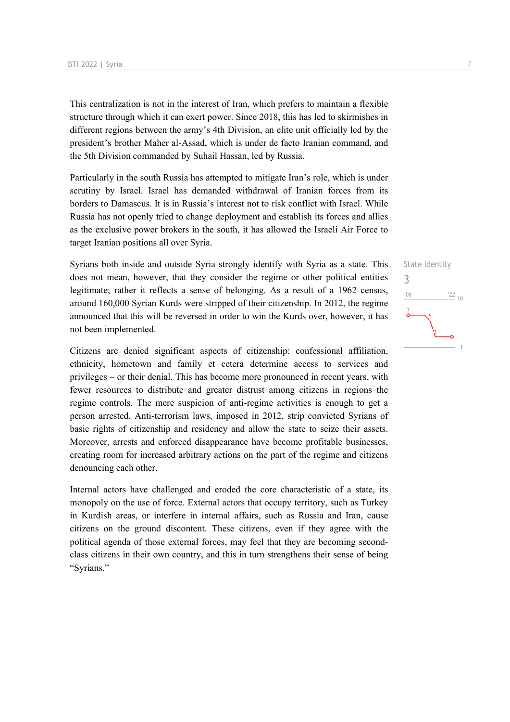This centralization is not in the interest of Iran, which prefers to maintain a flexible structure through which it can exert power. Since 2018, this has led to skirmishes in different regions between the army's 4th Division, an elite unit officially led by the president's brother Maher al-Assad, which is under de facto Iranian command, and the 5th Division commanded by Suhail Hassan, led by Russia.

Particularly in the south Russia has attempted to mitigate Iran's role, which is under scrutiny by Israel. Israel has demanded withdrawal of Iranian forces from its borders to Damascus. It is in Russia's interest not to risk conflict with Israel. While Russia has not openly tried to change deployment and establish its forces and allies as the exclusive power brokers in the south, it has allowed the Israeli Air Force to target Iranian positions all over Syria.

Syrians both inside and outside Syria strongly identify with Syria as a state. This does not mean, however, that they consider the regime or other political entities legitimate; rather it reflects a sense of belonging. As a result of a 1962 census, around 160,000 Syrian Kurds were stripped of their citizenship. In 2012, the regime announced that this will be reversed in order to win the Kurds over, however, it has not been implemented.

Citizens are denied significant aspects of citizenship: confessional affiliation, ethnicity, hometown and family et cetera determine access to services and privileges – or their denial. This has become more pronounced in recent years, with fewer resources to distribute and greater distrust among citizens in regions the regime controls. The mere suspicion of anti-regime activities is enough to get a person arrested. Anti-terrorism laws, imposed in 2012, strip convicted Syrians of basic rights of citizenship and residency and allow the state to seize their assets. Moreover, arrests and enforced disappearance have become profitable businesses, creating room for increased arbitrary actions on the part of the regime and citizens denouncing each other.

Internal actors have challenged and eroded the core characteristic of a state, its monopoly on the use of force. External actors that occupy territory, such as Turkey in Kurdish areas, or interfere in internal affairs, such as Russia and Iran, cause citizens on the ground discontent. These citizens, even if they agree with the political agenda of those external forces, may feel that they are becoming secondclass citizens in their own country, and this in turn strengthens their sense of being "Syrians."

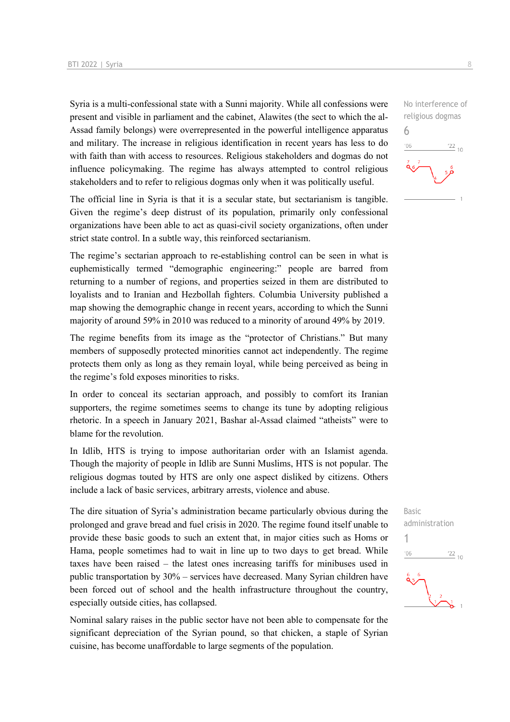Syria is a multi-confessional state with a Sunni majority. While all confessions were present and visible in parliament and the cabinet, Alawites (the sect to which the al-Assad family belongs) were overrepresented in the powerful intelligence apparatus and military. The increase in religious identification in recent years has less to do with faith than with access to resources. Religious stakeholders and dogmas do not influence policymaking. The regime has always attempted to control religious stakeholders and to refer to religious dogmas only when it was politically useful.

The official line in Syria is that it is a secular state, but sectarianism is tangible. Given the regime's deep distrust of its population, primarily only confessional organizations have been able to act as quasi-civil society organizations, often under strict state control. In a subtle way, this reinforced sectarianism.

The regime's sectarian approach to re-establishing control can be seen in what is euphemistically termed "demographic engineering:" people are barred from returning to a number of regions, and properties seized in them are distributed to loyalists and to Iranian and Hezbollah fighters. Columbia University published a map showing the demographic change in recent years, according to which the Sunni majority of around 59% in 2010 was reduced to a minority of around 49% by 2019.

The regime benefits from its image as the "protector of Christians." But many members of supposedly protected minorities cannot act independently. The regime protects them only as long as they remain loyal, while being perceived as being in the regime's fold exposes minorities to risks.

In order to conceal its sectarian approach, and possibly to comfort its Iranian supporters, the regime sometimes seems to change its tune by adopting religious rhetoric. In a speech in January 2021, Bashar al-Assad claimed "atheists" were to blame for the revolution.

In Idlib, HTS is trying to impose authoritarian order with an Islamist agenda. Though the majority of people in Idlib are Sunni Muslims, HTS is not popular. The religious dogmas touted by HTS are only one aspect disliked by citizens. Others include a lack of basic services, arbitrary arrests, violence and abuse.

The dire situation of Syria's administration became particularly obvious during the prolonged and grave bread and fuel crisis in 2020. The regime found itself unable to provide these basic goods to such an extent that, in major cities such as Homs or Hama, people sometimes had to wait in line up to two days to get bread. While taxes have been raised – the latest ones increasing tariffs for minibuses used in public transportation by 30% – services have decreased. Many Syrian children have been forced out of school and the health infrastructure throughout the country, especially outside cities, has collapsed.

Nominal salary raises in the public sector have not been able to compensate for the significant depreciation of the Syrian pound, so that chicken, a staple of Syrian cuisine, has become unaffordable to large segments of the population.



No interference of religious dogmas 6  $-06$  $\frac{22}{10}$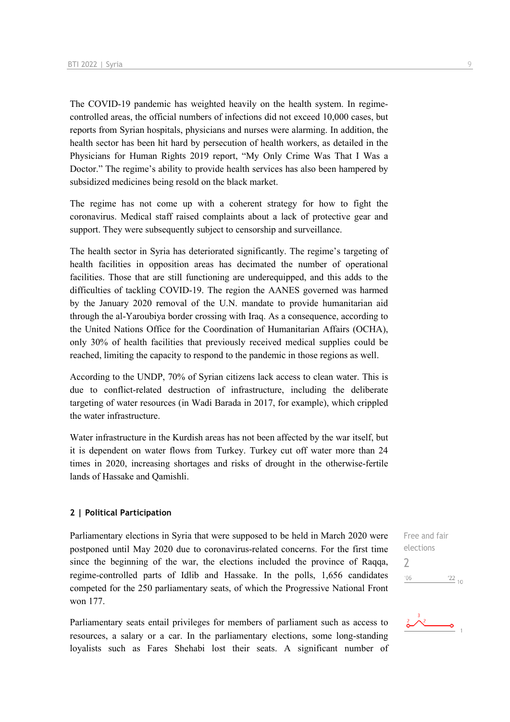The COVID-19 pandemic has weighted heavily on the health system. In regimecontrolled areas, the official numbers of infections did not exceed 10,000 cases, but reports from Syrian hospitals, physicians and nurses were alarming. In addition, the health sector has been hit hard by persecution of health workers, as detailed in the Physicians for Human Rights 2019 report, "My Only Crime Was That I Was a Doctor." The regime's ability to provide health services has also been hampered by subsidized medicines being resold on the black market.

The regime has not come up with a coherent strategy for how to fight the coronavirus. Medical staff raised complaints about a lack of protective gear and support. They were subsequently subject to censorship and surveillance.

The health sector in Syria has deteriorated significantly. The regime's targeting of health facilities in opposition areas has decimated the number of operational facilities. Those that are still functioning are underequipped, and this adds to the difficulties of tackling COVID-19. The region the AANES governed was harmed by the January 2020 removal of the U.N. mandate to provide humanitarian aid through the al-Yaroubiya border crossing with Iraq. As a consequence, according to the United Nations Office for the Coordination of Humanitarian Affairs (OCHA), only 30% of health facilities that previously received medical supplies could be reached, limiting the capacity to respond to the pandemic in those regions as well.

According to the UNDP, 70% of Syrian citizens lack access to clean water. This is due to conflict-related destruction of infrastructure, including the deliberate targeting of water resources (in Wadi Barada in 2017, for example), which crippled the water infrastructure.

Water infrastructure in the Kurdish areas has not been affected by the war itself, but it is dependent on water flows from Turkey. Turkey cut off water more than 24 times in 2020, increasing shortages and risks of drought in the otherwise-fertile lands of Hassake and Qamishli.

#### **2 | Political Participation**

Parliamentary elections in Syria that were supposed to be held in March 2020 were postponed until May 2020 due to coronavirus-related concerns. For the first time since the beginning of the war, the elections included the province of Raqqa, regime-controlled parts of Idlib and Hassake. In the polls, 1,656 candidates competed for the 250 parliamentary seats, of which the Progressive National Front won 177.

Parliamentary seats entail privileges for members of parliament such as access to resources, a salary or a car. In the parliamentary elections, some long-standing loyalists such as Fares Shehabi lost their seats. A significant number of Free and fair elections  $\overline{\phantom{0}}$  $06'$  $\frac{22}{10}$ 

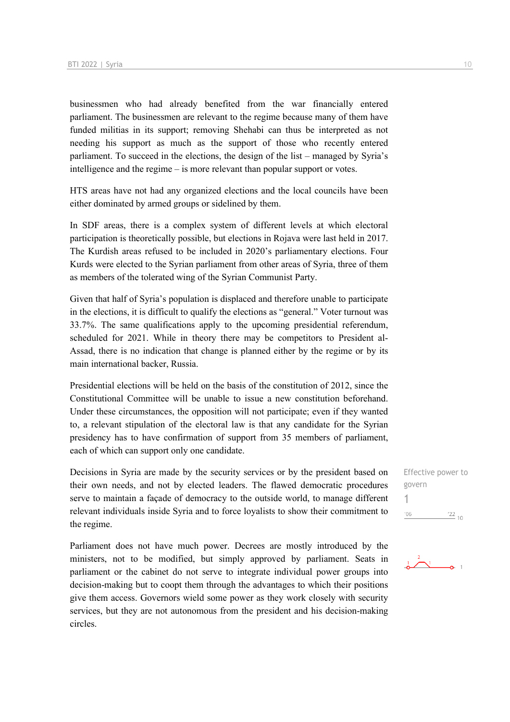businessmen who had already benefited from the war financially entered parliament. The businessmen are relevant to the regime because many of them have funded militias in its support; removing Shehabi can thus be interpreted as not needing his support as much as the support of those who recently entered parliament. To succeed in the elections, the design of the list – managed by Syria's intelligence and the regime – is more relevant than popular support or votes.

HTS areas have not had any organized elections and the local councils have been either dominated by armed groups or sidelined by them.

In SDF areas, there is a complex system of different levels at which electoral participation is theoretically possible, but elections in Rojava were last held in 2017. The Kurdish areas refused to be included in 2020's parliamentary elections. Four Kurds were elected to the Syrian parliament from other areas of Syria, three of them as members of the tolerated wing of the Syrian Communist Party.

Given that half of Syria's population is displaced and therefore unable to participate in the elections, it is difficult to qualify the elections as "general." Voter turnout was 33.7%. The same qualifications apply to the upcoming presidential referendum, scheduled for 2021. While in theory there may be competitors to President al-Assad, there is no indication that change is planned either by the regime or by its main international backer, Russia.

Presidential elections will be held on the basis of the constitution of 2012, since the Constitutional Committee will be unable to issue a new constitution beforehand. Under these circumstances, the opposition will not participate; even if they wanted to, a relevant stipulation of the electoral law is that any candidate for the Syrian presidency has to have confirmation of support from 35 members of parliament, each of which can support only one candidate.

Decisions in Syria are made by the security services or by the president based on their own needs, and not by elected leaders. The flawed democratic procedures serve to maintain a façade of democracy to the outside world, to manage different relevant individuals inside Syria and to force loyalists to show their commitment to the regime.

Parliament does not have much power. Decrees are mostly introduced by the ministers, not to be modified, but simply approved by parliament. Seats in parliament or the cabinet do not serve to integrate individual power groups into decision-making but to coopt them through the advantages to which their positions give them access. Governors wield some power as they work closely with security services, but they are not autonomous from the president and his decision-making circles.

Effective power to govern 1 $-06$  $\frac{22}{10}$ 

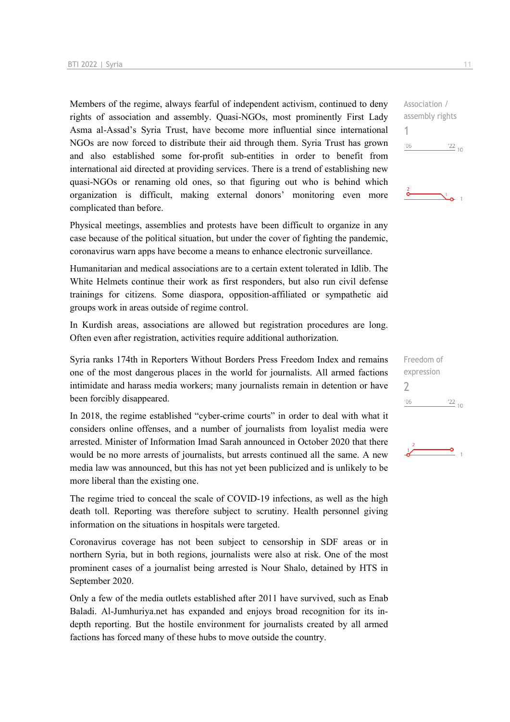Members of the regime, always fearful of independent activism, continued to deny rights of association and assembly. Quasi-NGOs, most prominently First Lady Asma al-Assad's Syria Trust, have become more influential since international NGOs are now forced to distribute their aid through them. Syria Trust has grown and also established some for-profit sub-entities in order to benefit from international aid directed at providing services. There is a trend of establishing new quasi-NGOs or renaming old ones, so that figuring out who is behind which organization is difficult, making external donors' monitoring even more complicated than before.

Physical meetings, assemblies and protests have been difficult to organize in any case because of the political situation, but under the cover of fighting the pandemic, coronavirus warn apps have become a means to enhance electronic surveillance.

Humanitarian and medical associations are to a certain extent tolerated in Idlib. The White Helmets continue their work as first responders, but also run civil defense trainings for citizens. Some diaspora, opposition-affiliated or sympathetic aid groups work in areas outside of regime control.

In Kurdish areas, associations are allowed but registration procedures are long. Often even after registration, activities require additional authorization.

Syria ranks 174th in Reporters Without Borders Press Freedom Index and remains one of the most dangerous places in the world for journalists. All armed factions intimidate and harass media workers; many journalists remain in detention or have been forcibly disappeared.

In 2018, the regime established "cyber-crime courts" in order to deal with what it considers online offenses, and a number of journalists from loyalist media were arrested. Minister of Information Imad Sarah announced in October 2020 that there would be no more arrests of journalists, but arrests continued all the same. A new media law was announced, but this has not yet been publicized and is unlikely to be more liberal than the existing one.

The regime tried to conceal the scale of COVID-19 infections, as well as the high death toll. Reporting was therefore subject to scrutiny. Health personnel giving information on the situations in hospitals were targeted.

Coronavirus coverage has not been subject to censorship in SDF areas or in northern Syria, but in both regions, journalists were also at risk. One of the most prominent cases of a journalist being arrested is Nour Shalo, detained by HTS in September 2020.

Only a few of the media outlets established after 2011 have survived, such as Enab Baladi. Al-Jumhuriya.net has expanded and enjoys broad recognition for its indepth reporting. But the hostile environment for journalists created by all armed factions has forced many of these hubs to move outside the country.

Association / assembly rights 1  $^{\prime}06$  $\frac{22}{10}$ 

 $\sum_{\mathbf{0}=1}^{\infty}$ 



Freedom of expression

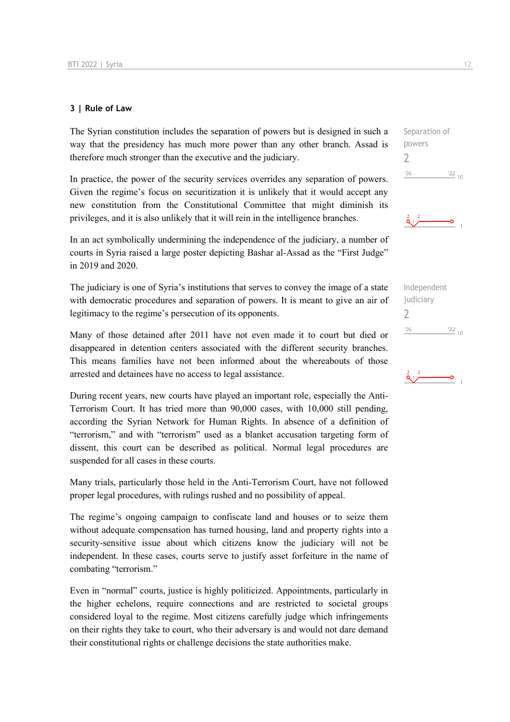#### **3 | Rule of Law**

The Syrian constitution includes the separation of powers but is designed in such a way that the presidency has much more power than any other branch. Assad is therefore much stronger than the executive and the judiciary.

In practice, the power of the security services overrides any separation of powers. Given the regime's focus on securitization it is unlikely that it would accept any new constitution from the Constitutional Committee that might diminish its privileges, and it is also unlikely that it will rein in the intelligence branches.

In an act symbolically undermining the independence of the judiciary, a number of courts in Syria raised a large poster depicting Bashar al-Assad as the "First Judge" in 2019 and 2020.

The judiciary is one of Syria's institutions that serves to convey the image of a state with democratic procedures and separation of powers. It is meant to give an air of legitimacy to the regime's persecution of its opponents.

Many of those detained after 2011 have not even made it to court but died or disappeared in detention centers associated with the different security branches. This means families have not been informed about the whereabouts of those arrested and detainees have no access to legal assistance.

During recent years, new courts have played an important role, especially the Anti-Terrorism Court. It has tried more than 90,000 cases, with 10,000 still pending, according the Syrian Network for Human Rights. In absence of a definition of "terrorism," and with "terrorism" used as a blanket accusation targeting form of dissent, this court can be described as political. Normal legal procedures are suspended for all cases in these courts.

Many trials, particularly those held in the Anti-Terrorism Court, have not followed proper legal procedures, with rulings rushed and no possibility of appeal.

The regime's ongoing campaign to confiscate land and houses or to seize them without adequate compensation has turned housing, land and property rights into a security-sensitive issue about which citizens know the judiciary will not be independent. In these cases, courts serve to justify asset forfeiture in the name of combating "terrorism."

Even in "normal" courts, justice is highly politicized. Appointments, particularly in the higher echelons, require connections and are restricted to societal groups considered loyal to the regime. Most citizens carefully judge which infringements on their rights they take to court, who their adversary is and would not dare demand their constitutional rights or challenge decisions the state authorities make.







 $rac{2}{\mathbf{Q}_1}$   $\begin{matrix} 2 & 2 \\ 0 & 0 \end{matrix}$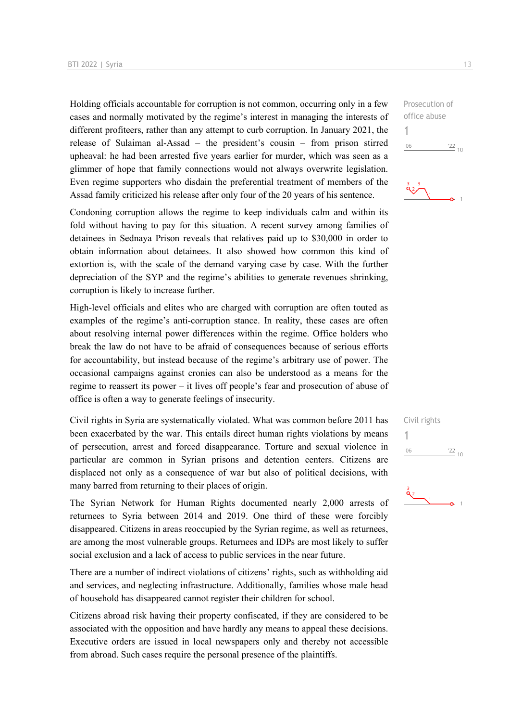Holding officials accountable for corruption is not common, occurring only in a few cases and normally motivated by the regime's interest in managing the interests of different profiteers, rather than any attempt to curb corruption. In January 2021, the release of Sulaiman al-Assad – the president's cousin – from prison stirred upheaval: he had been arrested five years earlier for murder, which was seen as a glimmer of hope that family connections would not always overwrite legislation. Even regime supporters who disdain the preferential treatment of members of the Assad family criticized his release after only four of the 20 years of his sentence.

Condoning corruption allows the regime to keep individuals calm and within its fold without having to pay for this situation. A recent survey among families of detainees in Sednaya Prison reveals that relatives paid up to \$30,000 in order to obtain information about detainees. It also showed how common this kind of extortion is, with the scale of the demand varying case by case. With the further depreciation of the SYP and the regime's abilities to generate revenues shrinking, corruption is likely to increase further.

High-level officials and elites who are charged with corruption are often touted as examples of the regime's anti-corruption stance. In reality, these cases are often about resolving internal power differences within the regime. Office holders who break the law do not have to be afraid of consequences because of serious efforts for accountability, but instead because of the regime's arbitrary use of power. The occasional campaigns against cronies can also be understood as a means for the regime to reassert its power – it lives off people's fear and prosecution of abuse of office is often a way to generate feelings of insecurity.

Civil rights in Syria are systematically violated. What was common before 2011 has been exacerbated by the war. This entails direct human rights violations by means of persecution, arrest and forced disappearance. Torture and sexual violence in particular are common in Syrian prisons and detention centers. Citizens are displaced not only as a consequence of war but also of political decisions, with many barred from returning to their places of origin.

The Syrian Network for Human Rights documented nearly 2,000 arrests of returnees to Syria between 2014 and 2019. One third of these were forcibly disappeared. Citizens in areas reoccupied by the Syrian regime, as well as returnees, are among the most vulnerable groups. Returnees and IDPs are most likely to suffer social exclusion and a lack of access to public services in the near future.

There are a number of indirect violations of citizens' rights, such as withholding aid and services, and neglecting infrastructure. Additionally, families whose male head of household has disappeared cannot register their children for school.

Citizens abroad risk having their property confiscated, if they are considered to be associated with the opposition and have hardly any means to appeal these decisions. Executive orders are issued in local newspapers only and thereby not accessible from abroad. Such cases require the personal presence of the plaintiffs.

 $\frac{22}{10}$ 

Prosecution of office abuse

1

 $-06$ 

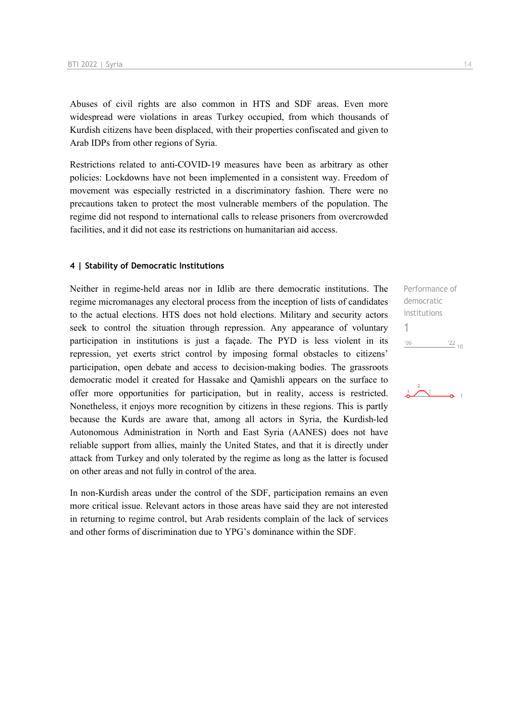Abuses of civil rights are also common in HTS and SDF areas. Even more widespread were violations in areas Turkey occupied, from which thousands of Kurdish citizens have been displaced, with their properties confiscated and given to Arab IDPs from other regions of Syria.

Restrictions related to anti-COVID-19 measures have been as arbitrary as other policies: Lockdowns have not been implemented in a consistent way. Freedom of movement was especially restricted in a discriminatory fashion. There were no precautions taken to protect the most vulnerable members of the population. The regime did not respond to international calls to release prisoners from overcrowded facilities, and it did not ease its restrictions on humanitarian aid access.

#### **4 | Stability of Democratic Institutions**

Neither in regime-held areas nor in Idlib are there democratic institutions. The regime micromanages any electoral process from the inception of lists of candidates to the actual elections. HTS does not hold elections. Military and security actors seek to control the situation through repression. Any appearance of voluntary participation in institutions is just a façade. The PYD is less violent in its repression, yet exerts strict control by imposing formal obstacles to citizens' participation, open debate and access to decision-making bodies. The grassroots democratic model it created for Hassake and Qamishli appears on the surface to offer more opportunities for participation, but in reality, access is restricted. Nonetheless, it enjoys more recognition by citizens in these regions. This is partly because the Kurds are aware that, among all actors in Syria, the Kurdish-led Autonomous Administration in North and East Syria (AANES) does not have reliable support from allies, mainly the United States, and that it is directly under attack from Turkey and only tolerated by the regime as long as the latter is focused on other areas and not fully in control of the area.

In non-Kurdish areas under the control of the SDF, participation remains an even more critical issue. Relevant actors in those areas have said they are not interested in returning to regime control, but Arab residents complain of the lack of services and other forms of discrimination due to YPG's dominance within the SDF.

Performance of democratic institutions 1 $'06$  $\frac{22}{10}$ 

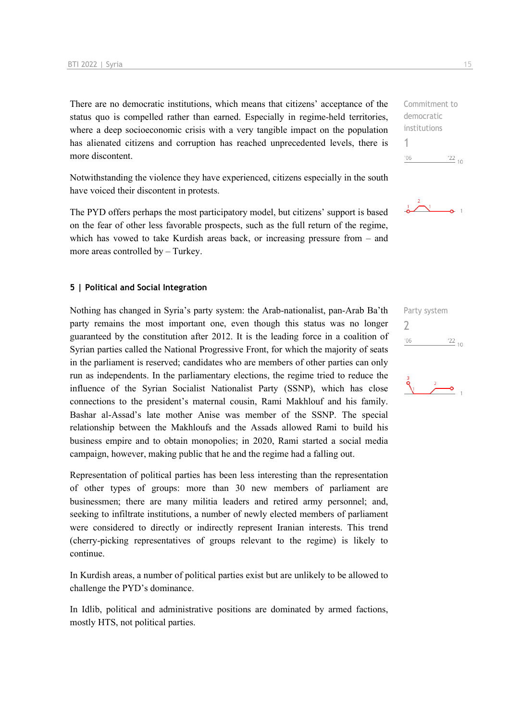There are no democratic institutions, which means that citizens' acceptance of the status quo is compelled rather than earned. Especially in regime-held territories, where a deep socioeconomic crisis with a very tangible impact on the population has alienated citizens and corruption has reached unprecedented levels, there is more discontent.

Notwithstanding the violence they have experienced, citizens especially in the south have voiced their discontent in protests.

The PYD offers perhaps the most participatory model, but citizens' support is based on the fear of other less favorable prospects, such as the full return of the regime, which has vowed to take Kurdish areas back, or increasing pressure from  $-$  and more areas controlled by – Turkey.

#### **5 | Political and Social Integration**

Nothing has changed in Syria's party system: the Arab-nationalist, pan-Arab Ba'th party remains the most important one, even though this status was no longer guaranteed by the constitution after 2012. It is the leading force in a coalition of Syrian parties called the National Progressive Front, for which the majority of seats in the parliament is reserved; candidates who are members of other parties can only run as independents. In the parliamentary elections, the regime tried to reduce the influence of the Syrian Socialist Nationalist Party (SSNP), which has close connections to the president's maternal cousin, Rami Makhlouf and his family. Bashar al-Assad's late mother Anise was member of the SSNP. The special relationship between the Makhloufs and the Assads allowed Rami to build his business empire and to obtain monopolies; in 2020, Rami started a social media campaign, however, making public that he and the regime had a falling out.

Representation of political parties has been less interesting than the representation of other types of groups: more than 30 new members of parliament are businessmen; there are many militia leaders and retired army personnel; and, seeking to infiltrate institutions, a number of newly elected members of parliament were considered to directly or indirectly represent Iranian interests. This trend (cherry-picking representatives of groups relevant to the regime) is likely to continue.

In Kurdish areas, a number of political parties exist but are unlikely to be allowed to challenge the PYD's dominance.

In Idlib, political and administrative positions are dominated by armed factions, mostly HTS, not political parties.

Commitment to democratic institutions 1  $\frac{22}{10}$  $106$ 



Party system  $\overline{\phantom{0}}$  $^{\prime}06$  $\frac{22}{10}$ 

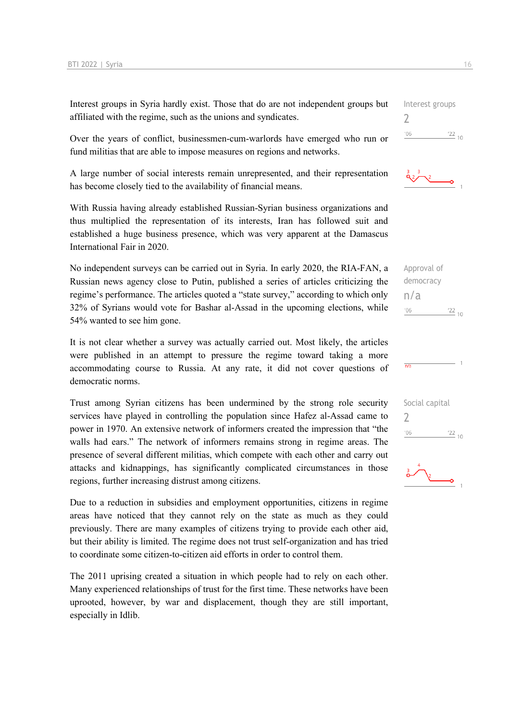Interest groups in Syria hardly exist. Those that do are not independent groups but affiliated with the regime, such as the unions and syndicates.

Over the years of conflict, businessmen-cum-warlords have emerged who run or fund militias that are able to impose measures on regions and networks.

A large number of social interests remain unrepresented, and their representation has become closely tied to the availability of financial means.

With Russia having already established Russian-Syrian business organizations and thus multiplied the representation of its interests, Iran has followed suit and established a huge business presence, which was very apparent at the Damascus International Fair in 2020.

No independent surveys can be carried out in Syria. In early 2020, the RIA-FAN, a Russian news agency close to Putin, published a series of articles criticizing the regime's performance. The articles quoted a "state survey," according to which only 32% of Syrians would vote for Bashar al-Assad in the upcoming elections, while 54% wanted to see him gone.

It is not clear whether a survey was actually carried out. Most likely, the articles were published in an attempt to pressure the regime toward taking a more accommodating course to Russia. At any rate, it did not cover questions of democratic norms.

Trust among Syrian citizens has been undermined by the strong role security services have played in controlling the population since Hafez al-Assad came to power in 1970. An extensive network of informers created the impression that "the walls had ears." The network of informers remains strong in regime areas. The presence of several different militias, which compete with each other and carry out attacks and kidnappings, has significantly complicated circumstances in those regions, further increasing distrust among citizens.

Due to a reduction in subsidies and employment opportunities, citizens in regime areas have noticed that they cannot rely on the state as much as they could previously. There are many examples of citizens trying to provide each other aid, but their ability is limited. The regime does not trust self-organization and has tried to coordinate some citizen-to-citizen aid efforts in order to control them.

The 2011 uprising created a situation in which people had to rely on each other. Many experienced relationships of trust for the first time. These networks have been uprooted, however, by war and displacement, though they are still important, especially in Idlib.

Interest groups  $\overline{\phantom{0}}$  $'06$  $^{22}$  10





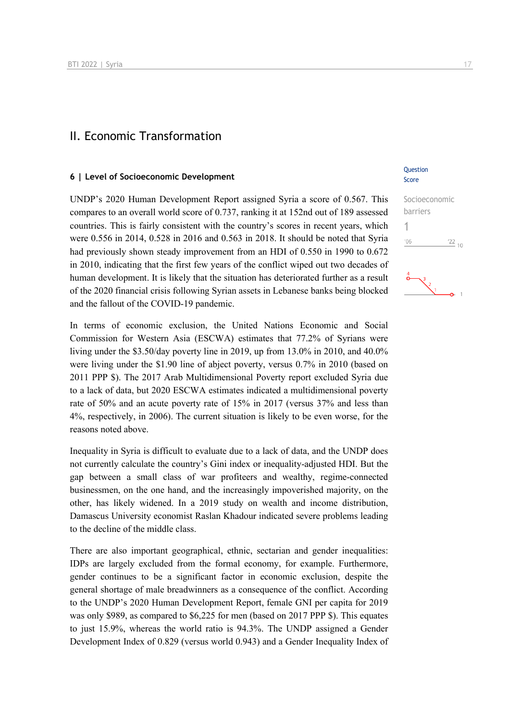### II. Economic Transformation

#### **6 | Level of Socioeconomic Development**

UNDP's 2020 Human Development Report assigned Syria a score of 0.567. This compares to an overall world score of 0.737, ranking it at 152nd out of 189 assessed countries. This is fairly consistent with the country's scores in recent years, which were 0.556 in 2014, 0.528 in 2016 and 0.563 in 2018. It should be noted that Syria had previously shown steady improvement from an HDI of 0.550 in 1990 to 0.672 in 2010, indicating that the first few years of the conflict wiped out two decades of human development. It is likely that the situation has deteriorated further as a result of the 2020 financial crisis following Syrian assets in Lebanese banks being blocked and the fallout of the COVID-19 pandemic.

In terms of economic exclusion, the United Nations Economic and Social Commission for Western Asia (ESCWA) estimates that 77.2% of Syrians were living under the \$3.50/day poverty line in 2019, up from 13.0% in 2010, and 40.0% were living under the \$1.90 line of abject poverty, versus 0.7% in 2010 (based on 2011 PPP \$). The 2017 Arab Multidimensional Poverty report excluded Syria due to a lack of data, but 2020 ESCWA estimates indicated a multidimensional poverty rate of 50% and an acute poverty rate of 15% in 2017 (versus 37% and less than 4%, respectively, in 2006). The current situation is likely to be even worse, for the reasons noted above.

Inequality in Syria is difficult to evaluate due to a lack of data, and the UNDP does not currently calculate the country's Gini index or inequality-adjusted HDI. But the gap between a small class of war profiteers and wealthy, regime-connected businessmen, on the one hand, and the increasingly impoverished majority, on the other, has likely widened. In a 2019 study on wealth and income distribution, Damascus University economist Raslan Khadour indicated severe problems leading to the decline of the middle class.

There are also important geographical, ethnic, sectarian and gender inequalities: IDPs are largely excluded from the formal economy, for example. Furthermore, gender continues to be a significant factor in economic exclusion, despite the general shortage of male breadwinners as a consequence of the conflict. According to the UNDP's 2020 Human Development Report, female GNI per capita for 2019 was only \$989, as compared to \$6,225 for men (based on 2017 PPP \$). This equates to just 15.9%, whereas the world ratio is 94.3%. The UNDP assigned a Gender Development Index of 0.829 (versus world 0.943) and a Gender Inequality Index of

#### **Ouestion** Score

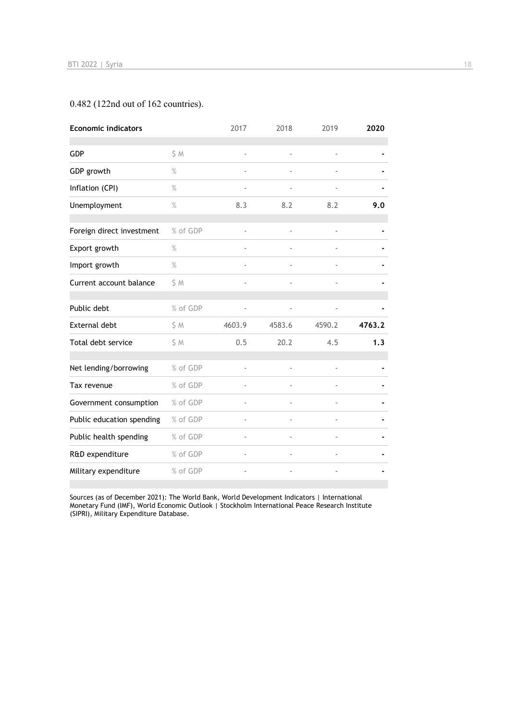## 0.482 (122nd out of 162 countries).

| <b>Economic indicators</b> |          | 2017   | 2018   | 2019   | 2020   |
|----------------------------|----------|--------|--------|--------|--------|
| <b>GDP</b>                 | \$ M     | ä,     |        | ÷,     |        |
| GDP growth                 | $\%$     |        |        |        |        |
| Inflation (CPI)            | $\%$     | ٠      |        |        |        |
| Unemployment               | $\%$     | 8.3    | 8.2    | 8.2    | 9.0    |
|                            |          |        |        |        |        |
| Foreign direct investment  | % of GDP |        |        |        |        |
| Export growth              | %        |        |        |        |        |
| Import growth              | $\%$     | ÷,     |        |        |        |
| Current account balance    | \$M      |        |        |        |        |
| Public debt                | % of GDP |        |        |        |        |
| External debt              | \$ M     | 4603.9 | 4583.6 | 4590.2 | 4763.2 |
| Total debt service         | \$ M     | 0.5    | 20.2   | 4.5    | 1.3    |
| Net lending/borrowing      | % of GDP |        |        |        |        |
| Tax revenue                | % of GDP |        |        |        |        |
| Government consumption     | % of GDP |        |        |        |        |
| Public education spending  | % of GDP | ä,     |        |        |        |
| Public health spending     | % of GDP |        | ÷,     |        |        |
| R&D expenditure            | % of GDP |        |        |        |        |
| Military expenditure       | % of GDP |        |        |        |        |

Sources (as of December 2021): The World Bank, World Development Indicators | International Monetary Fund (IMF), World Economic Outlook | Stockholm International Peace Research Institute (SIPRI), Military Expenditure Database.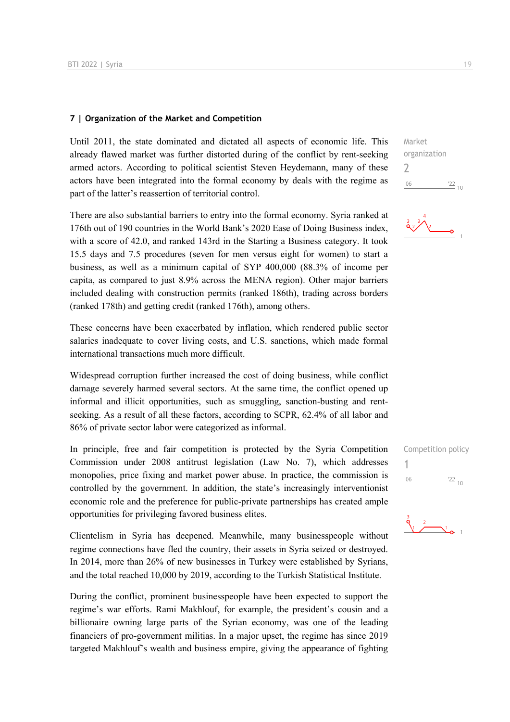#### **7 | Organization of the Market and Competition**

Until 2011, the state dominated and dictated all aspects of economic life. This already flawed market was further distorted during of the conflict by rent-seeking armed actors. According to political scientist Steven Heydemann, many of these actors have been integrated into the formal economy by deals with the regime as part of the latter's reassertion of territorial control.

There are also substantial barriers to entry into the formal economy. Syria ranked at 176th out of 190 countries in the World Bank's 2020 Ease of Doing Business index, with a score of 42.0, and ranked 143rd in the Starting a Business category. It took 15.5 days and 7.5 procedures (seven for men versus eight for women) to start a business, as well as a minimum capital of SYP 400,000 (88.3% of income per capita, as compared to just 8.9% across the MENA region). Other major barriers included dealing with construction permits (ranked 186th), trading across borders (ranked 178th) and getting credit (ranked 176th), among others.

These concerns have been exacerbated by inflation, which rendered public sector salaries inadequate to cover living costs, and U.S. sanctions, which made formal international transactions much more difficult.

Widespread corruption further increased the cost of doing business, while conflict damage severely harmed several sectors. At the same time, the conflict opened up informal and illicit opportunities, such as smuggling, sanction-busting and rentseeking. As a result of all these factors, according to SCPR, 62.4% of all labor and 86% of private sector labor were categorized as informal.

In principle, free and fair competition is protected by the Syria Competition Commission under 2008 antitrust legislation (Law No. 7), which addresses monopolies, price fixing and market power abuse. In practice, the commission is controlled by the government. In addition, the state's increasingly interventionist economic role and the preference for public-private partnerships has created ample opportunities for privileging favored business elites.

Clientelism in Syria has deepened. Meanwhile, many businesspeople without regime connections have fled the country, their assets in Syria seized or destroyed. In 2014, more than 26% of new businesses in Turkey were established by Syrians, and the total reached 10,000 by 2019, according to the Turkish Statistical Institute.

During the conflict, prominent businesspeople have been expected to support the regime's war efforts. Rami Makhlouf, for example, the president's cousin and a billionaire owning large parts of the Syrian economy, was one of the leading financiers of pro-government militias. In a major upset, the regime has since 2019 targeted Makhlouf's wealth and business empire, giving the appearance of fighting Market organization 2  $^{\prime}06$  $\frac{22}{10}$ 



| Competition policy |                    |
|--------------------|--------------------|
|                    |                    |
| '06                | $^{22}$ $^{22}$ 10 |

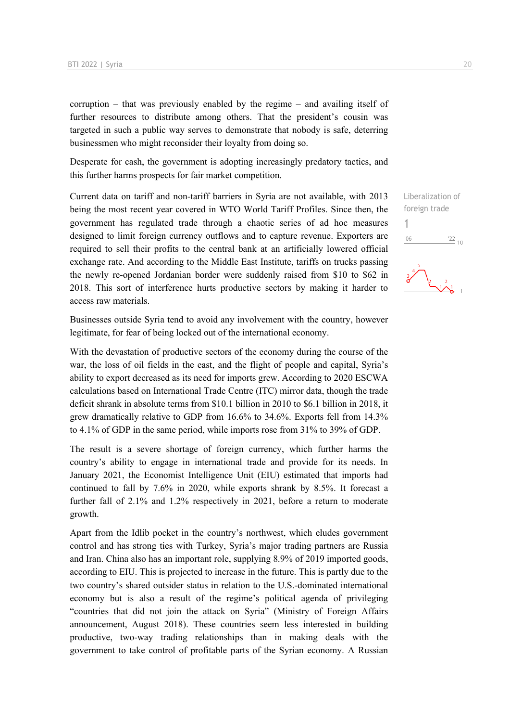corruption – that was previously enabled by the regime – and availing itself of further resources to distribute among others. That the president's cousin was targeted in such a public way serves to demonstrate that nobody is safe, deterring businessmen who might reconsider their loyalty from doing so.

Desperate for cash, the government is adopting increasingly predatory tactics, and this further harms prospects for fair market competition.

Current data on tariff and non-tariff barriers in Syria are not available, with 2013 being the most recent year covered in WTO World Tariff Profiles. Since then, the government has regulated trade through a chaotic series of ad hoc measures designed to limit foreign currency outflows and to capture revenue. Exporters are required to sell their profits to the central bank at an artificially lowered official exchange rate. And according to the Middle East Institute, tariffs on trucks passing the newly re-opened Jordanian border were suddenly raised from \$10 to \$62 in 2018. This sort of interference hurts productive sectors by making it harder to access raw materials.

Businesses outside Syria tend to avoid any involvement with the country, however legitimate, for fear of being locked out of the international economy.

With the devastation of productive sectors of the economy during the course of the war, the loss of oil fields in the east, and the flight of people and capital, Syria's ability to export decreased as its need for imports grew. According to 2020 ESCWA calculations based on International Trade Centre (ITC) mirror data, though the trade deficit shrank in absolute terms from \$10.1 billion in 2010 to \$6.1 billion in 2018, it grew dramatically relative to GDP from 16.6% to 34.6%. Exports fell from 14.3% to 4.1% of GDP in the same period, while imports rose from 31% to 39% of GDP.

The result is a severe shortage of foreign currency, which further harms the country's ability to engage in international trade and provide for its needs. In January 2021, the Economist Intelligence Unit (EIU) estimated that imports had continued to fall by 7.6% in 2020, while exports shrank by 8.5%. It forecast a further fall of 2.1% and 1.2% respectively in 2021, before a return to moderate growth.

Apart from the Idlib pocket in the country's northwest, which eludes government control and has strong ties with Turkey, Syria's major trading partners are Russia and Iran. China also has an important role, supplying 8.9% of 2019 imported goods, according to EIU. This is projected to increase in the future. This is partly due to the two country's shared outsider status in relation to the U.S.-dominated international economy but is also a result of the regime's political agenda of privileging "countries that did not join the attack on Syria" (Ministry of Foreign Affairs announcement, August 2018). These countries seem less interested in building productive, two-way trading relationships than in making deals with the government to take control of profitable parts of the Syrian economy. A Russian

Liberalization of foreign trade

 $\frac{122}{10}$ 

1

 $'06$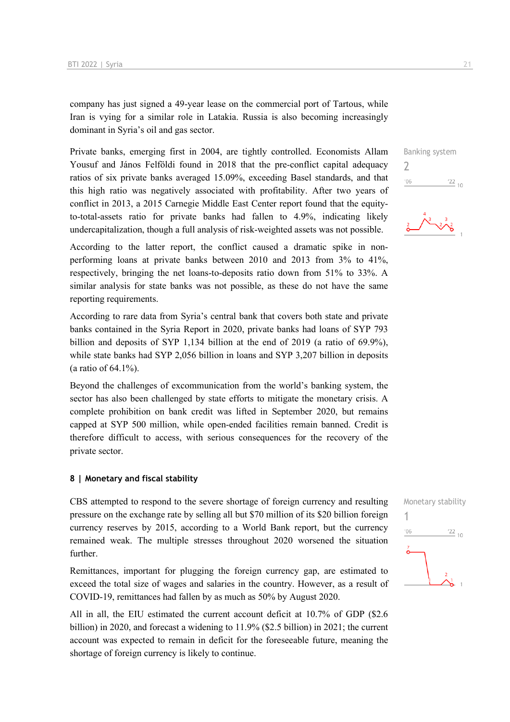company has just signed a 49-year lease on the commercial port of Tartous, while Iran is vying for a similar role in Latakia. Russia is also becoming increasingly dominant in Syria's oil and gas sector.

Private banks, emerging first in 2004, are tightly controlled. Economists Allam Yousuf and János Felföldi found in 2018 that the pre-conflict capital adequacy ratios of six private banks averaged 15.09%, exceeding Basel standards, and that this high ratio was negatively associated with profitability. After two years of conflict in 2013, a 2015 Carnegie Middle East Center report found that the equityto-total-assets ratio for private banks had fallen to 4.9%, indicating likely undercapitalization, though a full analysis of risk-weighted assets was not possible.

According to the latter report, the conflict caused a dramatic spike in nonperforming loans at private banks between 2010 and 2013 from 3% to 41%, respectively, bringing the net loans-to-deposits ratio down from 51% to 33%. A similar analysis for state banks was not possible, as these do not have the same reporting requirements.

According to rare data from Syria's central bank that covers both state and private banks contained in the Syria Report in 2020, private banks had loans of SYP 793 billion and deposits of SYP 1,134 billion at the end of 2019 (a ratio of 69.9%), while state banks had SYP 2,056 billion in loans and SYP 3,207 billion in deposits (a ratio of 64.1%).

Beyond the challenges of excommunication from the world's banking system, the sector has also been challenged by state efforts to mitigate the monetary crisis. A complete prohibition on bank credit was lifted in September 2020, but remains capped at SYP 500 million, while open-ended facilities remain banned. Credit is therefore difficult to access, with serious consequences for the recovery of the private sector.

#### **8 | Monetary and fiscal stability**

CBS attempted to respond to the severe shortage of foreign currency and resulting pressure on the exchange rate by selling all but \$70 million of its \$20 billion foreign currency reserves by 2015, according to a World Bank report, but the currency remained weak. The multiple stresses throughout 2020 worsened the situation further.

Remittances, important for plugging the foreign currency gap, are estimated to exceed the total size of wages and salaries in the country. However, as a result of COVID-19, remittances had fallen by as much as 50% by August 2020.

All in all, the EIU estimated the current account deficit at 10.7% of GDP (\$2.6 billion) in 2020, and forecast a widening to 11.9% (\$2.5 billion) in 2021; the current account was expected to remain in deficit for the foreseeable future, meaning the shortage of foreign currency is likely to continue.

Banking system 2  $\frac{22}{10}$  $^{\prime}06$ 

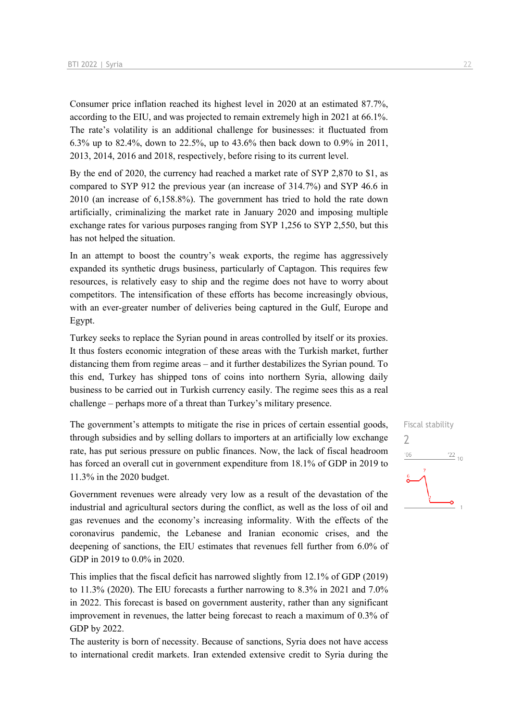Consumer price inflation reached its highest level in 2020 at an estimated 87.7%, according to the EIU, and was projected to remain extremely high in 2021 at 66.1%. The rate's volatility is an additional challenge for businesses: it fluctuated from 6.3% up to 82.4%, down to 22.5%, up to 43.6% then back down to 0.9% in 2011, 2013, 2014, 2016 and 2018, respectively, before rising to its current level.

By the end of 2020, the currency had reached a market rate of SYP 2,870 to \$1, as compared to SYP 912 the previous year (an increase of 314.7%) and SYP 46.6 in 2010 (an increase of 6,158.8%). The government has tried to hold the rate down artificially, criminalizing the market rate in January 2020 and imposing multiple exchange rates for various purposes ranging from SYP 1,256 to SYP 2,550, but this has not helped the situation.

In an attempt to boost the country's weak exports, the regime has aggressively expanded its synthetic drugs business, particularly of Captagon. This requires few resources, is relatively easy to ship and the regime does not have to worry about competitors. The intensification of these efforts has become increasingly obvious, with an ever-greater number of deliveries being captured in the Gulf, Europe and Egypt.

Turkey seeks to replace the Syrian pound in areas controlled by itself or its proxies. It thus fosters economic integration of these areas with the Turkish market, further distancing them from regime areas – and it further destabilizes the Syrian pound. To this end, Turkey has shipped tons of coins into northern Syria, allowing daily business to be carried out in Turkish currency easily. The regime sees this as a real challenge – perhaps more of a threat than Turkey's military presence.

The government's attempts to mitigate the rise in prices of certain essential goods, through subsidies and by selling dollars to importers at an artificially low exchange rate, has put serious pressure on public finances. Now, the lack of fiscal headroom has forced an overall cut in government expenditure from 18.1% of GDP in 2019 to 11.3% in the 2020 budget.

Government revenues were already very low as a result of the devastation of the industrial and agricultural sectors during the conflict, as well as the loss of oil and gas revenues and the economy's increasing informality. With the effects of the coronavirus pandemic, the Lebanese and Iranian economic crises, and the deepening of sanctions, the EIU estimates that revenues fell further from 6.0% of GDP in 2019 to 0.0% in 2020.

This implies that the fiscal deficit has narrowed slightly from 12.1% of GDP (2019) to 11.3% (2020). The EIU forecasts a further narrowing to 8.3% in 2021 and 7.0% in 2022. This forecast is based on government austerity, rather than any significant improvement in revenues, the latter being forecast to reach a maximum of 0.3% of GDP by 2022.

The austerity is born of necessity. Because of sanctions, Syria does not have access to international credit markets. Iran extended extensive credit to Syria during the

# Fiscal stability  $\overline{\phantom{0}}$  $^{\prime}06$  $\frac{22}{10}$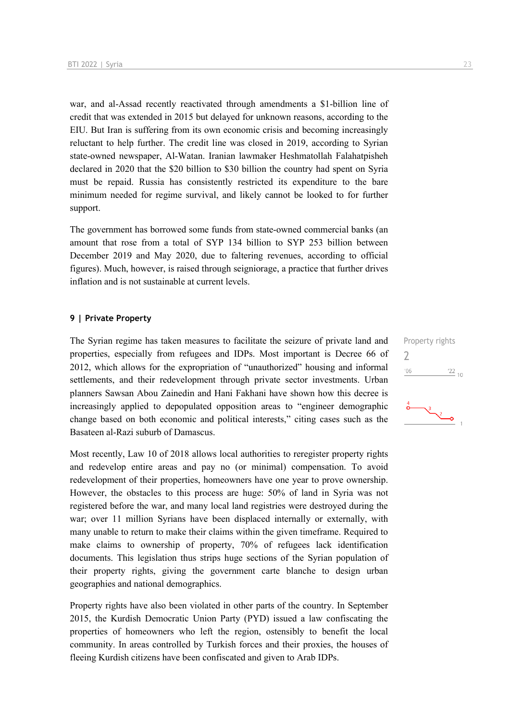war, and al-Assad recently reactivated through amendments a \$1-billion line of credit that was extended in 2015 but delayed for unknown reasons, according to the EIU. But Iran is suffering from its own economic crisis and becoming increasingly reluctant to help further. The credit line was closed in 2019, according to Syrian state-owned newspaper, Al-Watan. Iranian lawmaker Heshmatollah Falahatpisheh declared in 2020 that the \$20 billion to \$30 billion the country had spent on Syria must be repaid. Russia has consistently restricted its expenditure to the bare minimum needed for regime survival, and likely cannot be looked to for further support.

The government has borrowed some funds from state-owned commercial banks (an amount that rose from a total of SYP 134 billion to SYP 253 billion between December 2019 and May 2020, due to faltering revenues, according to official figures). Much, however, is raised through seigniorage, a practice that further drives inflation and is not sustainable at current levels.

#### **9 | Private Property**

The Syrian regime has taken measures to facilitate the seizure of private land and properties, especially from refugees and IDPs. Most important is Decree 66 of 2012, which allows for the expropriation of "unauthorized" housing and informal settlements, and their redevelopment through private sector investments. Urban planners Sawsan Abou Zainedin and Hani Fakhani have shown how this decree is increasingly applied to depopulated opposition areas to "engineer demographic change based on both economic and political interests," citing cases such as the Basateen al-Razi suburb of Damascus.

Most recently, Law 10 of 2018 allows local authorities to reregister property rights and redevelop entire areas and pay no (or minimal) compensation. To avoid redevelopment of their properties, homeowners have one year to prove ownership. However, the obstacles to this process are huge: 50% of land in Syria was not registered before the war, and many local land registries were destroyed during the war; over 11 million Syrians have been displaced internally or externally, with many unable to return to make their claims within the given timeframe. Required to make claims to ownership of property, 70% of refugees lack identification documents. This legislation thus strips huge sections of the Syrian population of their property rights, giving the government carte blanche to design urban geographies and national demographics.

Property rights have also been violated in other parts of the country. In September 2015, the Kurdish Democratic Union Party (PYD) issued a law confiscating the properties of homeowners who left the region, ostensibly to benefit the local community. In areas controlled by Turkish forces and their proxies, the houses of fleeing Kurdish citizens have been confiscated and given to Arab IDPs.

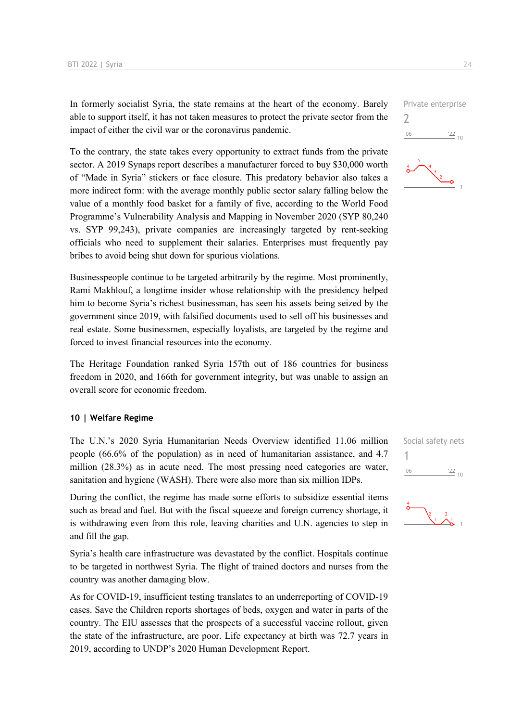In formerly socialist Syria, the state remains at the heart of the economy. Barely able to support itself, it has not taken measures to protect the private sector from the impact of either the civil war or the coronavirus pandemic.

To the contrary, the state takes every opportunity to extract funds from the private sector. A 2019 Synaps report describes a manufacturer forced to buy \$30,000 worth of "Made in Syria" stickers or face closure. This predatory behavior also takes a more indirect form: with the average monthly public sector salary falling below the value of a monthly food basket for a family of five, according to the World Food Programme's Vulnerability Analysis and Mapping in November 2020 (SYP 80,240 vs. SYP 99,243), private companies are increasingly targeted by rent-seeking officials who need to supplement their salaries. Enterprises must frequently pay bribes to avoid being shut down for spurious violations.

Businesspeople continue to be targeted arbitrarily by the regime. Most prominently, Rami Makhlouf, a longtime insider whose relationship with the presidency helped him to become Syria's richest businessman, has seen his assets being seized by the government since 2019, with falsified documents used to sell off his businesses and real estate. Some businessmen, especially loyalists, are targeted by the regime and forced to invest financial resources into the economy.

The Heritage Foundation ranked Syria 157th out of 186 countries for business freedom in 2020, and 166th for government integrity, but was unable to assign an overall score for economic freedom.

#### **10 | Welfare Regime**

The U.N.'s 2020 Syria Humanitarian Needs Overview identified 11.06 million people (66.6% of the population) as in need of humanitarian assistance, and 4.7 million (28.3%) as in acute need. The most pressing need categories are water, sanitation and hygiene (WASH). There were also more than six million IDPs.

During the conflict, the regime has made some efforts to subsidize essential items such as bread and fuel. But with the fiscal squeeze and foreign currency shortage, it is withdrawing even from this role, leaving charities and U.N. agencies to step in and fill the gap.

Syria's health care infrastructure was devastated by the conflict. Hospitals continue to be targeted in northwest Syria. The flight of trained doctors and nurses from the country was another damaging blow.

As for COVID-19, insufficient testing translates to an underreporting of COVID-19 cases. Save the Children reports shortages of beds, oxygen and water in parts of the country. The EIU assesses that the prospects of a successful vaccine rollout, given the state of the infrastructure, are poor. Life expectancy at birth was 72.7 years in 2019, according to UNDP's 2020 Human Development Report.







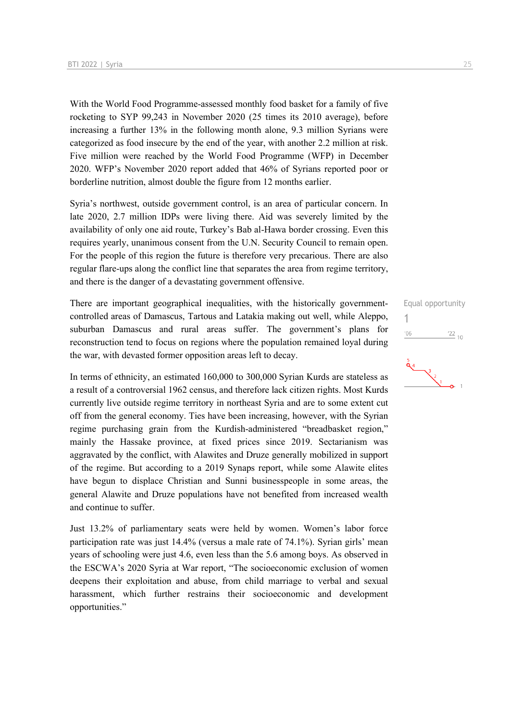With the World Food Programme-assessed monthly food basket for a family of five rocketing to SYP 99,243 in November 2020 (25 times its 2010 average), before increasing a further 13% in the following month alone, 9.3 million Syrians were categorized as food insecure by the end of the year, with another 2.2 million at risk. Five million were reached by the World Food Programme (WFP) in December 2020. WFP's November 2020 report added that 46% of Syrians reported poor or borderline nutrition, almost double the figure from 12 months earlier.

Syria's northwest, outside government control, is an area of particular concern. In late 2020, 2.7 million IDPs were living there. Aid was severely limited by the availability of only one aid route, Turkey's Bab al-Hawa border crossing. Even this requires yearly, unanimous consent from the U.N. Security Council to remain open. For the people of this region the future is therefore very precarious. There are also regular flare-ups along the conflict line that separates the area from regime territory, and there is the danger of a devastating government offensive.

There are important geographical inequalities, with the historically governmentcontrolled areas of Damascus, Tartous and Latakia making out well, while Aleppo, suburban Damascus and rural areas suffer. The government's plans for reconstruction tend to focus on regions where the population remained loyal during the war, with devasted former opposition areas left to decay.

In terms of ethnicity, an estimated 160,000 to 300,000 Syrian Kurds are stateless as a result of a controversial 1962 census, and therefore lack citizen rights. Most Kurds currently live outside regime territory in northeast Syria and are to some extent cut off from the general economy. Ties have been increasing, however, with the Syrian regime purchasing grain from the Kurdish-administered "breadbasket region," mainly the Hassake province, at fixed prices since 2019. Sectarianism was aggravated by the conflict, with Alawites and Druze generally mobilized in support of the regime. But according to a 2019 Synaps report, while some Alawite elites have begun to displace Christian and Sunni businesspeople in some areas, the general Alawite and Druze populations have not benefited from increased wealth and continue to suffer.

Just 13.2% of parliamentary seats were held by women. Women's labor force participation rate was just 14.4% (versus a male rate of 74.1%). Syrian girls' mean years of schooling were just 4.6, even less than the 5.6 among boys. As observed in the ESCWA's 2020 Syria at War report, "The socioeconomic exclusion of women deepens their exploitation and abuse, from child marriage to verbal and sexual harassment, which further restrains their socioeconomic and development opportunities."

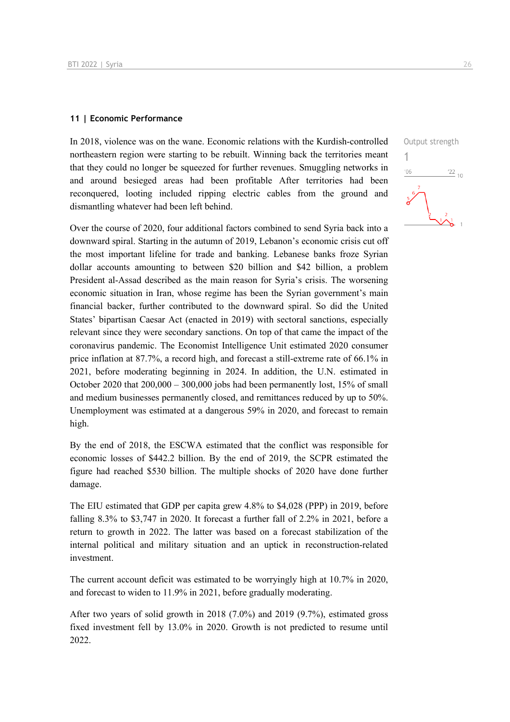#### **11 | Economic Performance**

In 2018, violence was on the wane. Economic relations with the Kurdish-controlled northeastern region were starting to be rebuilt. Winning back the territories meant that they could no longer be squeezed for further revenues. Smuggling networks in and around besieged areas had been profitable After territories had been reconquered, looting included ripping electric cables from the ground and dismantling whatever had been left behind.

Over the course of 2020, four additional factors combined to send Syria back into a downward spiral. Starting in the autumn of 2019, Lebanon's economic crisis cut off the most important lifeline for trade and banking. Lebanese banks froze Syrian dollar accounts amounting to between \$20 billion and \$42 billion, a problem President al-Assad described as the main reason for Syria's crisis. The worsening economic situation in Iran, whose regime has been the Syrian government's main financial backer, further contributed to the downward spiral. So did the United States' bipartisan Caesar Act (enacted in 2019) with sectoral sanctions, especially relevant since they were secondary sanctions. On top of that came the impact of the coronavirus pandemic. The Economist Intelligence Unit estimated 2020 consumer price inflation at 87.7%, a record high, and forecast a still-extreme rate of 66.1% in 2021, before moderating beginning in 2024. In addition, the U.N. estimated in October 2020 that 200,000 – 300,000 jobs had been permanently lost, 15% of small and medium businesses permanently closed, and remittances reduced by up to 50%. Unemployment was estimated at a dangerous 59% in 2020, and forecast to remain high.

By the end of 2018, the ESCWA estimated that the conflict was responsible for economic losses of \$442.2 billion. By the end of 2019, the SCPR estimated the figure had reached \$530 billion. The multiple shocks of 2020 have done further damage.

The EIU estimated that GDP per capita grew 4.8% to \$4,028 (PPP) in 2019, before falling 8.3% to \$3,747 in 2020. It forecast a further fall of 2.2% in 2021, before a return to growth in 2022. The latter was based on a forecast stabilization of the internal political and military situation and an uptick in reconstruction-related investment.

The current account deficit was estimated to be worryingly high at 10.7% in 2020, and forecast to widen to 11.9% in 2021, before gradually moderating.

After two years of solid growth in 2018 (7.0%) and 2019 (9.7%), estimated gross fixed investment fell by 13.0% in 2020. Growth is not predicted to resume until 2022.

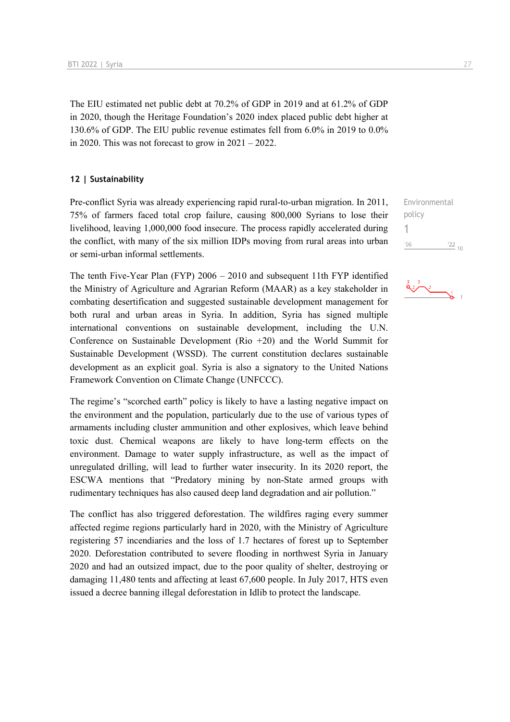The EIU estimated net public debt at 70.2% of GDP in 2019 and at 61.2% of GDP in 2020, though the Heritage Foundation's 2020 index placed public debt higher at 130.6% of GDP. The EIU public revenue estimates fell from 6.0% in 2019 to 0.0% in 2020. This was not forecast to grow in  $2021 - 2022$ .

#### **12 | Sustainability**

Pre-conflict Syria was already experiencing rapid rural-to-urban migration. In 2011, 75% of farmers faced total crop failure, causing 800,000 Syrians to lose their livelihood, leaving 1,000,000 food insecure. The process rapidly accelerated during the conflict, with many of the six million IDPs moving from rural areas into urban or semi-urban informal settlements.

The tenth Five-Year Plan (FYP) 2006 – 2010 and subsequent 11th FYP identified the Ministry of Agriculture and Agrarian Reform (MAAR) as a key stakeholder in combating desertification and suggested sustainable development management for both rural and urban areas in Syria. In addition, Syria has signed multiple international conventions on sustainable development, including the U.N. Conference on Sustainable Development (Rio +20) and the World Summit for Sustainable Development (WSSD). The current constitution declares sustainable development as an explicit goal. Syria is also a signatory to the United Nations Framework Convention on Climate Change (UNFCCC).

The regime's "scorched earth" policy is likely to have a lasting negative impact on the environment and the population, particularly due to the use of various types of armaments including cluster ammunition and other explosives, which leave behind toxic dust. Chemical weapons are likely to have long-term effects on the environment. Damage to water supply infrastructure, as well as the impact of unregulated drilling, will lead to further water insecurity. In its 2020 report, the ESCWA mentions that "Predatory mining by non-State armed groups with rudimentary techniques has also caused deep land degradation and air pollution."

The conflict has also triggered deforestation. The wildfires raging every summer affected regime regions particularly hard in 2020, with the Ministry of Agriculture registering 57 incendiaries and the loss of 1.7 hectares of forest up to September 2020. Deforestation contributed to severe flooding in northwest Syria in January 2020 and had an outsized impact, due to the poor quality of shelter, destroying or damaging 11,480 tents and affecting at least 67,600 people. In July 2017, HTS even issued a decree banning illegal deforestation in Idlib to protect the landscape.



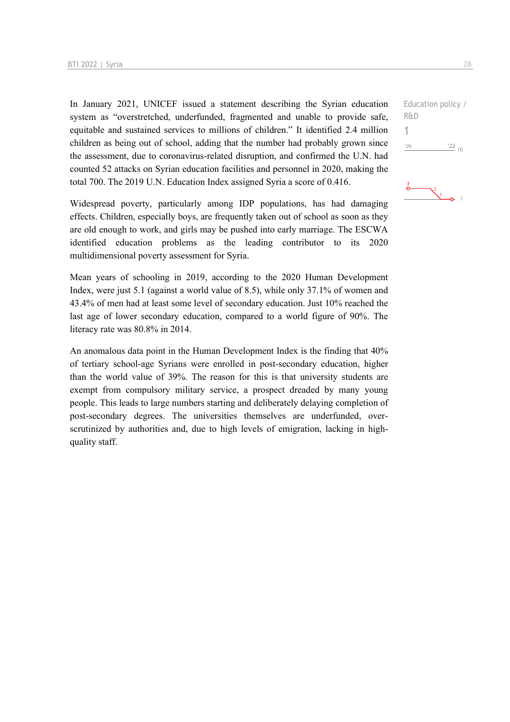In January 2021, UNICEF issued a statement describing the Syrian education system as "overstretched, underfunded, fragmented and unable to provide safe, equitable and sustained services to millions of children." It identified 2.4 million children as being out of school, adding that the number had probably grown since the assessment, due to coronavirus-related disruption, and confirmed the U.N. had counted 52 attacks on Syrian education facilities and personnel in 2020, making the total 700. The 2019 U.N. Education Index assigned Syria a score of 0.416.

Widespread poverty, particularly among IDP populations, has had damaging effects. Children, especially boys, are frequently taken out of school as soon as they are old enough to work, and girls may be pushed into early marriage. The ESCWA identified education problems as the leading contributor to its 2020 multidimensional poverty assessment for Syria.

Mean years of schooling in 2019, according to the 2020 Human Development Index, were just 5.1 (against a world value of 8.5), while only 37.1% of women and 43.4% of men had at least some level of secondary education. Just 10% reached the last age of lower secondary education, compared to a world figure of 90%. The literacy rate was 80.8% in 2014.

An anomalous data point in the Human Development Index is the finding that 40% of tertiary school-age Syrians were enrolled in post-secondary education, higher than the world value of 39%. The reason for this is that university students are exempt from compulsory military service, a prospect dreaded by many young people. This leads to large numbers starting and deliberately delaying completion of post-secondary degrees. The universities themselves are underfunded, overscrutinized by authorities and, due to high levels of emigration, lacking in highquality staff.

Education policy / R&D 1 $-06$  $\frac{22}{10}$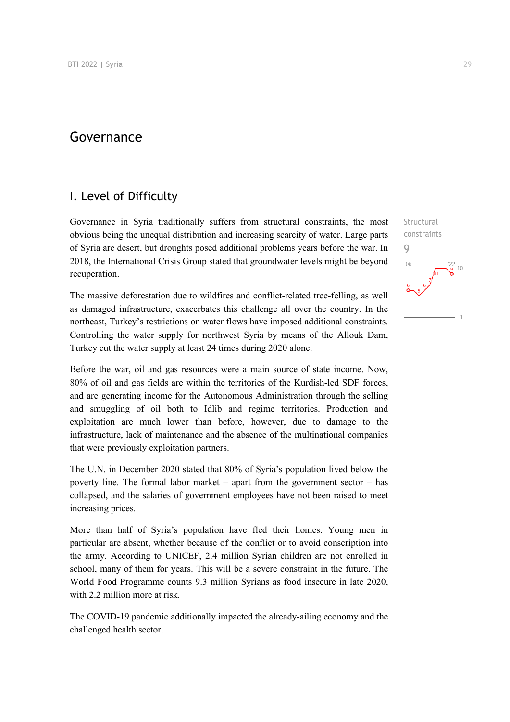# Governance

# I. Level of Difficulty

Governance in Syria traditionally suffers from structural constraints, the most obvious being the unequal distribution and increasing scarcity of water. Large parts of Syria are desert, but droughts posed additional problems years before the war. In 2018, the International Crisis Group stated that groundwater levels might be beyond recuperation.

The massive deforestation due to wildfires and conflict-related tree-felling, as well as damaged infrastructure, exacerbates this challenge all over the country. In the northeast, Turkey's restrictions on water flows have imposed additional constraints. Controlling the water supply for northwest Syria by means of the Allouk Dam, Turkey cut the water supply at least 24 times during 2020 alone.

Before the war, oil and gas resources were a main source of state income. Now, 80% of oil and gas fields are within the territories of the Kurdish-led SDF forces, and are generating income for the Autonomous Administration through the selling and smuggling of oil both to Idlib and regime territories. Production and exploitation are much lower than before, however, due to damage to the infrastructure, lack of maintenance and the absence of the multinational companies that were previously exploitation partners.

The U.N. in December 2020 stated that 80% of Syria's population lived below the poverty line. The formal labor market – apart from the government sector – has collapsed, and the salaries of government employees have not been raised to meet increasing prices.

More than half of Syria's population have fled their homes. Young men in particular are absent, whether because of the conflict or to avoid conscription into the army. According to UNICEF, 2.4 million Syrian children are not enrolled in school, many of them for years. This will be a severe constraint in the future. The World Food Programme counts 9.3 million Syrians as food insecure in late 2020, with 2.2 million more at risk.

The COVID-19 pandemic additionally impacted the already-ailing economy and the challenged health sector.

Structural constraints 9 $106$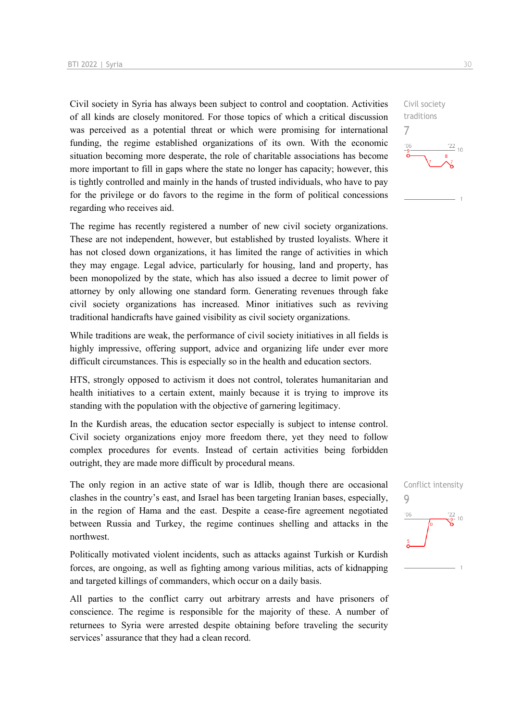Civil society in Syria has always been subject to control and cooptation. Activities of all kinds are closely monitored. For those topics of which a critical discussion was perceived as a potential threat or which were promising for international funding, the regime established organizations of its own. With the economic situation becoming more desperate, the role of charitable associations has become more important to fill in gaps where the state no longer has capacity; however, this is tightly controlled and mainly in the hands of trusted individuals, who have to pay for the privilege or do favors to the regime in the form of political concessions regarding who receives aid.

The regime has recently registered a number of new civil society organizations. These are not independent, however, but established by trusted loyalists. Where it has not closed down organizations, it has limited the range of activities in which they may engage. Legal advice, particularly for housing, land and property, has been monopolized by the state, which has also issued a decree to limit power of attorney by only allowing one standard form. Generating revenues through fake civil society organizations has increased. Minor initiatives such as reviving traditional handicrafts have gained visibility as civil society organizations.

While traditions are weak, the performance of civil society initiatives in all fields is highly impressive, offering support, advice and organizing life under ever more difficult circumstances. This is especially so in the health and education sectors.

HTS, strongly opposed to activism it does not control, tolerates humanitarian and health initiatives to a certain extent, mainly because it is trying to improve its standing with the population with the objective of garnering legitimacy.

In the Kurdish areas, the education sector especially is subject to intense control. Civil society organizations enjoy more freedom there, yet they need to follow complex procedures for events. Instead of certain activities being forbidden outright, they are made more difficult by procedural means.

The only region in an active state of war is Idlib, though there are occasional clashes in the country's east, and Israel has been targeting Iranian bases, especially, in the region of Hama and the east. Despite a cease-fire agreement negotiated between Russia and Turkey, the regime continues shelling and attacks in the northwest.

Politically motivated violent incidents, such as attacks against Turkish or Kurdish forces, are ongoing, as well as fighting among various militias, acts of kidnapping and targeted killings of commanders, which occur on a daily basis.

All parties to the conflict carry out arbitrary arrests and have prisoners of conscience. The regime is responsible for the majority of these. A number of returnees to Syria were arrested despite obtaining before traveling the security services' assurance that they had a clean record.



Civil society traditions 7  $\frac{122}{10}$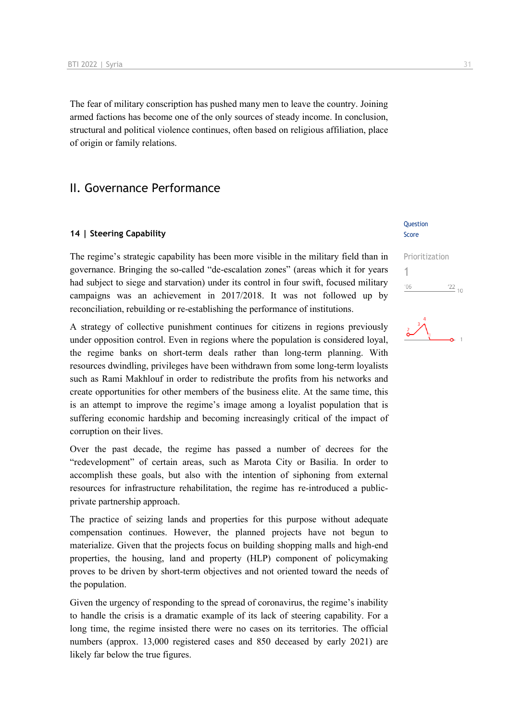The fear of military conscription has pushed many men to leave the country. Joining armed factions has become one of the only sources of steady income. In conclusion, structural and political violence continues, often based on religious affiliation, place of origin or family relations.

## II. Governance Performance

#### **14 | Steering Capability**

The regime's strategic capability has been more visible in the military field than in governance. Bringing the so-called "de-escalation zones" (areas which it for years had subject to siege and starvation) under its control in four swift, focused military campaigns was an achievement in 2017/2018. It was not followed up by reconciliation, rebuilding or re-establishing the performance of institutions.

A strategy of collective punishment continues for citizens in regions previously under opposition control. Even in regions where the population is considered loyal, the regime banks on short-term deals rather than long-term planning. With resources dwindling, privileges have been withdrawn from some long-term loyalists such as Rami Makhlouf in order to redistribute the profits from his networks and create opportunities for other members of the business elite. At the same time, this is an attempt to improve the regime's image among a loyalist population that is suffering economic hardship and becoming increasingly critical of the impact of corruption on their lives.

Over the past decade, the regime has passed a number of decrees for the "redevelopment" of certain areas, such as Marota City or Basilia. In order to accomplish these goals, but also with the intention of siphoning from external resources for infrastructure rehabilitation, the regime has re-introduced a publicprivate partnership approach.

The practice of seizing lands and properties for this purpose without adequate compensation continues. However, the planned projects have not begun to materialize. Given that the projects focus on building shopping malls and high-end properties, the housing, land and property (HLP) component of policymaking proves to be driven by short-term objectives and not oriented toward the needs of the population.

Given the urgency of responding to the spread of coronavirus, the regime's inability to handle the crisis is a dramatic example of its lack of steering capability. For a long time, the regime insisted there were no cases on its territories. The official numbers (approx. 13,000 registered cases and 850 deceased by early 2021) are likely far below the true figures.

#### Question Score

Prioritization

1 $\frac{22}{10}$  $'06$ 

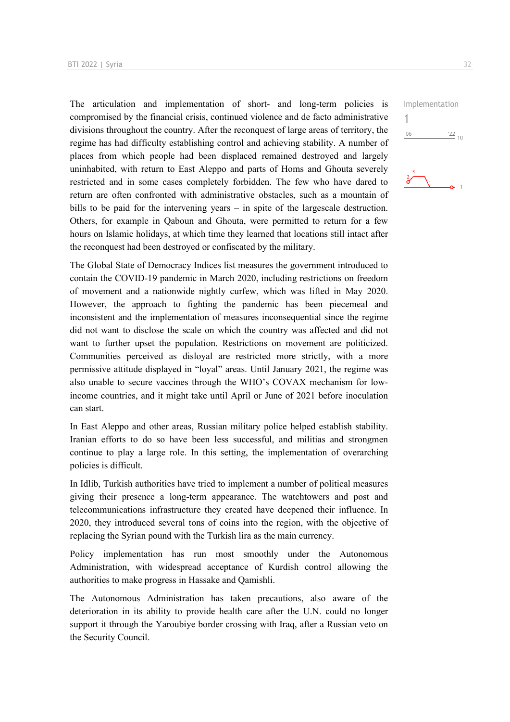The articulation and implementation of short- and long-term policies is compromised by the financial crisis, continued violence and de facto administrative divisions throughout the country. After the reconquest of large areas of territory, the regime has had difficulty establishing control and achieving stability. A number of places from which people had been displaced remained destroyed and largely uninhabited, with return to East Aleppo and parts of Homs and Ghouta severely restricted and in some cases completely forbidden. The few who have dared to return are often confronted with administrative obstacles, such as a mountain of bills to be paid for the intervening years – in spite of the largescale destruction. Others, for example in Qaboun and Ghouta, were permitted to return for a few hours on Islamic holidays, at which time they learned that locations still intact after the reconquest had been destroyed or confiscated by the military.

The Global State of Democracy Indices list measures the government introduced to contain the COVID-19 pandemic in March 2020, including restrictions on freedom of movement and a nationwide nightly curfew, which was lifted in May 2020. However, the approach to fighting the pandemic has been piecemeal and inconsistent and the implementation of measures inconsequential since the regime did not want to disclose the scale on which the country was affected and did not want to further upset the population. Restrictions on movement are politicized. Communities perceived as disloyal are restricted more strictly, with a more permissive attitude displayed in "loyal" areas. Until January 2021, the regime was also unable to secure vaccines through the WHO's COVAX mechanism for lowincome countries, and it might take until April or June of 2021 before inoculation can start.

In East Aleppo and other areas, Russian military police helped establish stability. Iranian efforts to do so have been less successful, and militias and strongmen continue to play a large role. In this setting, the implementation of overarching policies is difficult.

In Idlib, Turkish authorities have tried to implement a number of political measures giving their presence a long-term appearance. The watchtowers and post and telecommunications infrastructure they created have deepened their influence. In 2020, they introduced several tons of coins into the region, with the objective of replacing the Syrian pound with the Turkish lira as the main currency.

Policy implementation has run most smoothly under the Autonomous Administration, with widespread acceptance of Kurdish control allowing the authorities to make progress in Hassake and Qamishli.

The Autonomous Administration has taken precautions, also aware of the deterioration in its ability to provide health care after the U.N. could no longer support it through the Yaroubiye border crossing with Iraq, after a Russian veto on the Security Council.



Implementation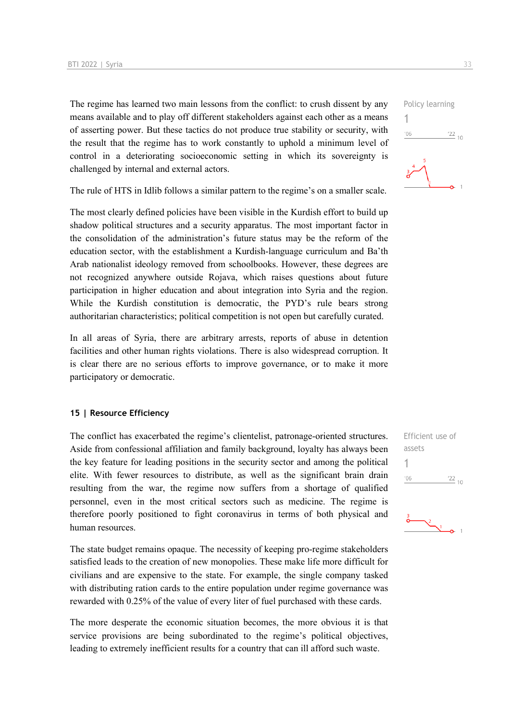The regime has learned two main lessons from the conflict: to crush dissent by any means available and to play off different stakeholders against each other as a means of asserting power. But these tactics do not produce true stability or security, with the result that the regime has to work constantly to uphold a minimum level of control in a deteriorating socioeconomic setting in which its sovereignty is challenged by internal and external actors.

The rule of HTS in Idlib follows a similar pattern to the regime's on a smaller scale.

The most clearly defined policies have been visible in the Kurdish effort to build up shadow political structures and a security apparatus. The most important factor in the consolidation of the administration's future status may be the reform of the education sector, with the establishment a Kurdish-language curriculum and Ba'th Arab nationalist ideology removed from schoolbooks. However, these degrees are not recognized anywhere outside Rojava, which raises questions about future participation in higher education and about integration into Syria and the region. While the Kurdish constitution is democratic, the PYD's rule bears strong authoritarian characteristics; political competition is not open but carefully curated.

In all areas of Syria, there are arbitrary arrests, reports of abuse in detention facilities and other human rights violations. There is also widespread corruption. It is clear there are no serious efforts to improve governance, or to make it more participatory or democratic.

#### **15 | Resource Efficiency**

The conflict has exacerbated the regime's clientelist, patronage-oriented structures. Aside from confessional affiliation and family background, loyalty has always been the key feature for leading positions in the security sector and among the political elite. With fewer resources to distribute, as well as the significant brain drain resulting from the war, the regime now suffers from a shortage of qualified personnel, even in the most critical sectors such as medicine. The regime is therefore poorly positioned to fight coronavirus in terms of both physical and human resources.

The state budget remains opaque. The necessity of keeping pro-regime stakeholders satisfied leads to the creation of new monopolies. These make life more difficult for civilians and are expensive to the state. For example, the single company tasked with distributing ration cards to the entire population under regime governance was rewarded with 0.25% of the value of every liter of fuel purchased with these cards.

The more desperate the economic situation becomes, the more obvious it is that service provisions are being subordinated to the regime's political objectives, leading to extremely inefficient results for a country that can ill afford such waste.





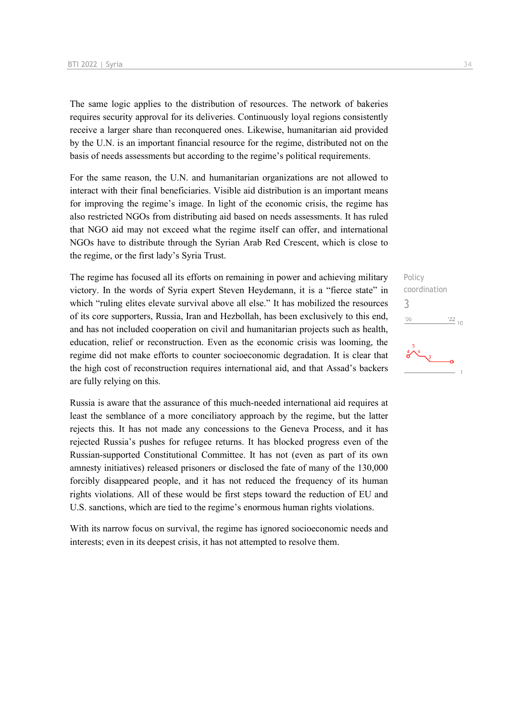The same logic applies to the distribution of resources. The network of bakeries requires security approval for its deliveries. Continuously loyal regions consistently receive a larger share than reconquered ones. Likewise, humanitarian aid provided by the U.N. is an important financial resource for the regime, distributed not on the basis of needs assessments but according to the regime's political requirements.

For the same reason, the U.N. and humanitarian organizations are not allowed to interact with their final beneficiaries. Visible aid distribution is an important means for improving the regime's image. In light of the economic crisis, the regime has also restricted NGOs from distributing aid based on needs assessments. It has ruled that NGO aid may not exceed what the regime itself can offer, and international NGOs have to distribute through the Syrian Arab Red Crescent, which is close to the regime, or the first lady's Syria Trust.

The regime has focused all its efforts on remaining in power and achieving military victory. In the words of Syria expert Steven Heydemann, it is a "fierce state" in which "ruling elites elevate survival above all else." It has mobilized the resources of its core supporters, Russia, Iran and Hezbollah, has been exclusively to this end, and has not included cooperation on civil and humanitarian projects such as health, education, relief or reconstruction. Even as the economic crisis was looming, the regime did not make efforts to counter socioeconomic degradation. It is clear that the high cost of reconstruction requires international aid, and that Assad's backers are fully relying on this.

Russia is aware that the assurance of this much-needed international aid requires at least the semblance of a more conciliatory approach by the regime, but the latter rejects this. It has not made any concessions to the Geneva Process, and it has rejected Russia's pushes for refugee returns. It has blocked progress even of the Russian-supported Constitutional Committee. It has not (even as part of its own amnesty initiatives) released prisoners or disclosed the fate of many of the 130,000 forcibly disappeared people, and it has not reduced the frequency of its human rights violations. All of these would be first steps toward the reduction of EU and U.S. sanctions, which are tied to the regime's enormous human rights violations.

With its narrow focus on survival, the regime has ignored socioeconomic needs and interests; even in its deepest crisis, it has not attempted to resolve them.

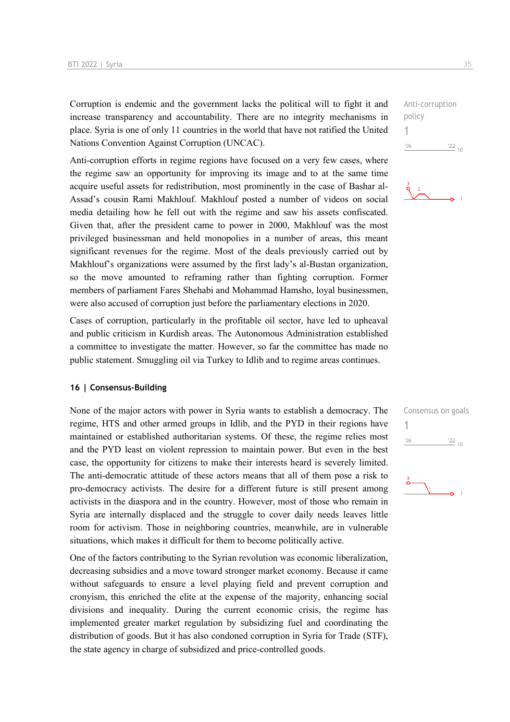Corruption is endemic and the government lacks the political will to fight it and increase transparency and accountability. There are no integrity mechanisms in place. Syria is one of only 11 countries in the world that have not ratified the United Nations Convention Against Corruption (UNCAC).

Anti-corruption efforts in regime regions have focused on a very few cases, where the regime saw an opportunity for improving its image and to at the same time acquire useful assets for redistribution, most prominently in the case of Bashar al-Assad's cousin Rami Makhlouf. Makhlouf posted a number of videos on social media detailing how he fell out with the regime and saw his assets confiscated. Given that, after the president came to power in 2000, Makhlouf was the most privileged businessman and held monopolies in a number of areas, this meant significant revenues for the regime. Most of the deals previously carried out by Makhlouf's organizations were assumed by the first lady's al-Bustan organization, so the move amounted to reframing rather than fighting corruption. Former members of parliament Fares Shehabi and Mohammad Hamsho, loyal businessmen, were also accused of corruption just before the parliamentary elections in 2020.

Cases of corruption, particularly in the profitable oil sector, have led to upheaval and public criticism in Kurdish areas. The Autonomous Administration established a committee to investigate the matter. However, so far the committee has made no public statement. Smuggling oil via Turkey to Idlib and to regime areas continues.

#### **16 | Consensus-Building**

None of the major actors with power in Syria wants to establish a democracy. The regime, HTS and other armed groups in Idlib, and the PYD in their regions have maintained or established authoritarian systems. Of these, the regime relies most and the PYD least on violent repression to maintain power. But even in the best case, the opportunity for citizens to make their interests heard is severely limited. The anti-democratic attitude of these actors means that all of them pose a risk to pro-democracy activists. The desire for a different future is still present among activists in the diaspora and in the country. However, most of those who remain in Syria are internally displaced and the struggle to cover daily needs leaves little room for activism. Those in neighboring countries, meanwhile, are in vulnerable situations, which makes it difficult for them to become politically active.

One of the factors contributing to the Syrian revolution was economic liberalization, decreasing subsidies and a move toward stronger market economy. Because it came without safeguards to ensure a level playing field and prevent corruption and cronyism, this enriched the elite at the expense of the majority, enhancing social divisions and inequality. During the current economic crisis, the regime has implemented greater market regulation by subsidizing fuel and coordinating the distribution of goods. But it has also condoned corruption in Syria for Trade (STF), the state agency in charge of subsidized and price-controlled goods.

Anti-corruption policy 1  $-06$  $\frac{22}{10}$ 



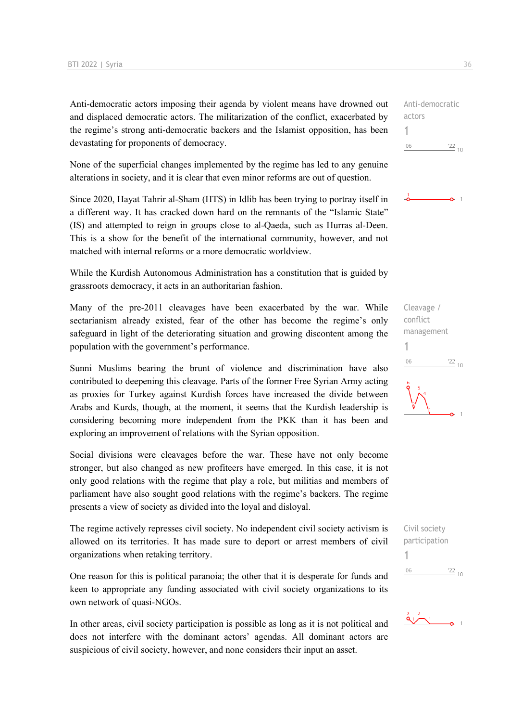Anti-democratic actors imposing their agenda by violent means have drowned out and displaced democratic actors. The militarization of the conflict, exacerbated by the regime's strong anti-democratic backers and the Islamist opposition, has been devastating for proponents of democracy.

None of the superficial changes implemented by the regime has led to any genuine alterations in society, and it is clear that even minor reforms are out of question.

Since 2020, Hayat Tahrir al-Sham (HTS) in Idlib has been trying to portray itself in a different way. It has cracked down hard on the remnants of the "Islamic State" (IS) and attempted to reign in groups close to al-Qaeda, such as Hurras al-Deen. This is a show for the benefit of the international community, however, and not matched with internal reforms or a more democratic worldview.

While the Kurdish Autonomous Administration has a constitution that is guided by grassroots democracy, it acts in an authoritarian fashion.

Many of the pre-2011 cleavages have been exacerbated by the war. While sectarianism already existed, fear of the other has become the regime's only safeguard in light of the deteriorating situation and growing discontent among the population with the government's performance.

Sunni Muslims bearing the brunt of violence and discrimination have also contributed to deepening this cleavage. Parts of the former Free Syrian Army acting as proxies for Turkey against Kurdish forces have increased the divide between Arabs and Kurds, though, at the moment, it seems that the Kurdish leadership is considering becoming more independent from the PKK than it has been and exploring an improvement of relations with the Syrian opposition.

Social divisions were cleavages before the war. These have not only become stronger, but also changed as new profiteers have emerged. In this case, it is not only good relations with the regime that play a role, but militias and members of parliament have also sought good relations with the regime's backers. The regime presents a view of society as divided into the loyal and disloyal.

The regime actively represses civil society. No independent civil society activism is allowed on its territories. It has made sure to deport or arrest members of civil organizations when retaking territory.

One reason for this is political paranoia; the other that it is desperate for funds and keen to appropriate any funding associated with civil society organizations to its own network of quasi-NGOs.

In other areas, civil society participation is possible as long as it is not political and does not interfere with the dominant actors' agendas. All dominant actors are suspicious of civil society, however, and none considers their input an asset.

Anti-democratic actors 1  $106$  $\frac{22}{10}$ 

 $\sim$  1

Cleavage / conflict management 1  $\frac{22}{10}$  $-06$ 

Civil society participation 1 $^{\prime}06$  $\frac{22}{10}$ 

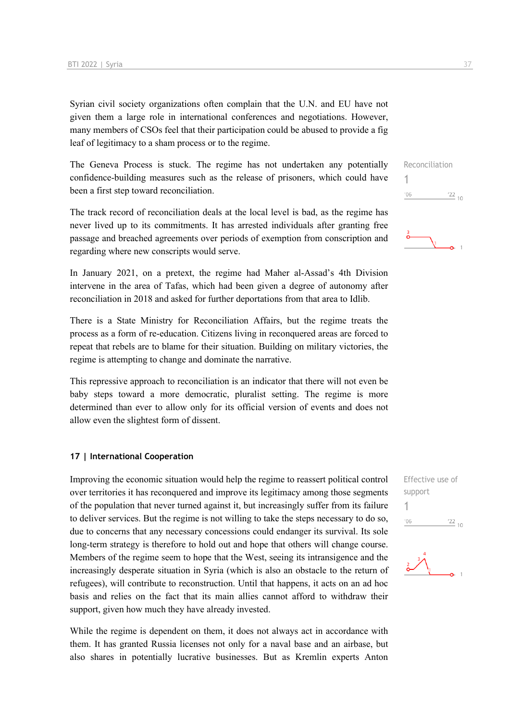Syrian civil society organizations often complain that the U.N. and EU have not given them a large role in international conferences and negotiations. However, many members of CSOs feel that their participation could be abused to provide a fig leaf of legitimacy to a sham process or to the regime.

The Geneva Process is stuck. The regime has not undertaken any potentially confidence-building measures such as the release of prisoners, which could have been a first step toward reconciliation.

The track record of reconciliation deals at the local level is bad, as the regime has never lived up to its commitments. It has arrested individuals after granting free passage and breached agreements over periods of exemption from conscription and regarding where new conscripts would serve.

In January 2021, on a pretext, the regime had Maher al-Assad's 4th Division intervene in the area of Tafas, which had been given a degree of autonomy after reconciliation in 2018 and asked for further deportations from that area to Idlib.

There is a State Ministry for Reconciliation Affairs, but the regime treats the process as a form of re-education. Citizens living in reconquered areas are forced to repeat that rebels are to blame for their situation. Building on military victories, the regime is attempting to change and dominate the narrative.

This repressive approach to reconciliation is an indicator that there will not even be baby steps toward a more democratic, pluralist setting. The regime is more determined than ever to allow only for its official version of events and does not allow even the slightest form of dissent.

#### **17 | International Cooperation**

Improving the economic situation would help the regime to reassert political control over territories it has reconquered and improve its legitimacy among those segments of the population that never turned against it, but increasingly suffer from its failure to deliver services. But the regime is not willing to take the steps necessary to do so, due to concerns that any necessary concessions could endanger its survival. Its sole long-term strategy is therefore to hold out and hope that others will change course. Members of the regime seem to hope that the West, seeing its intransigence and the increasingly desperate situation in Syria (which is also an obstacle to the return of refugees), will contribute to reconstruction. Until that happens, it acts on an ad hoc basis and relies on the fact that its main allies cannot afford to withdraw their support, given how much they have already invested.

While the regime is dependent on them, it does not always act in accordance with them. It has granted Russia licenses not only for a naval base and an airbase, but also shares in potentially lucrative businesses. But as Kremlin experts Anton

Reconciliation 1  $\frac{22}{10}$  $'06$ 

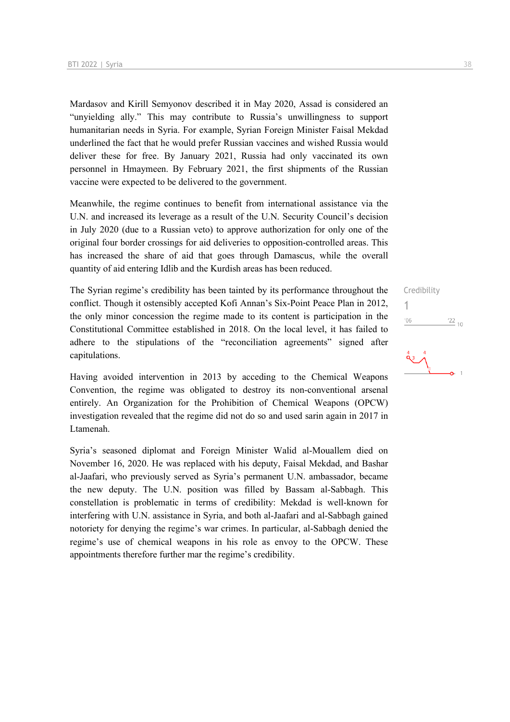Mardasov and Kirill Semyonov described it in May 2020, Assad is considered an "unyielding ally." This may contribute to Russia's unwillingness to support humanitarian needs in Syria. For example, Syrian Foreign Minister Faisal Mekdad underlined the fact that he would prefer Russian vaccines and wished Russia would deliver these for free. By January 2021, Russia had only vaccinated its own personnel in Hmaymeen. By February 2021, the first shipments of the Russian vaccine were expected to be delivered to the government.

Meanwhile, the regime continues to benefit from international assistance via the U.N. and increased its leverage as a result of the U.N. Security Council's decision in July 2020 (due to a Russian veto) to approve authorization for only one of the original four border crossings for aid deliveries to opposition-controlled areas. This has increased the share of aid that goes through Damascus, while the overall quantity of aid entering Idlib and the Kurdish areas has been reduced.

The Syrian regime's credibility has been tainted by its performance throughout the conflict. Though it ostensibly accepted Kofi Annan's Six-Point Peace Plan in 2012, the only minor concession the regime made to its content is participation in the Constitutional Committee established in 2018. On the local level, it has failed to adhere to the stipulations of the "reconciliation agreements" signed after capitulations.

Having avoided intervention in 2013 by acceding to the Chemical Weapons Convention, the regime was obligated to destroy its non-conventional arsenal entirely. An Organization for the Prohibition of Chemical Weapons (OPCW) investigation revealed that the regime did not do so and used sarin again in 2017 in Ltamenah.

Syria's seasoned diplomat and Foreign Minister Walid al-Mouallem died on November 16, 2020. He was replaced with his deputy, Faisal Mekdad, and Bashar al-Jaafari, who previously served as Syria's permanent U.N. ambassador, became the new deputy. The U.N. position was filled by Bassam al-Sabbagh. This constellation is problematic in terms of credibility: Mekdad is well-known for interfering with U.N. assistance in Syria, and both al-Jaafari and al-Sabbagh gained notoriety for denying the regime's war crimes. In particular, al-Sabbagh denied the regime's use of chemical weapons in his role as envoy to the OPCW. These appointments therefore further mar the regime's credibility.

Credibility 1 $\frac{22}{10}$  $06'$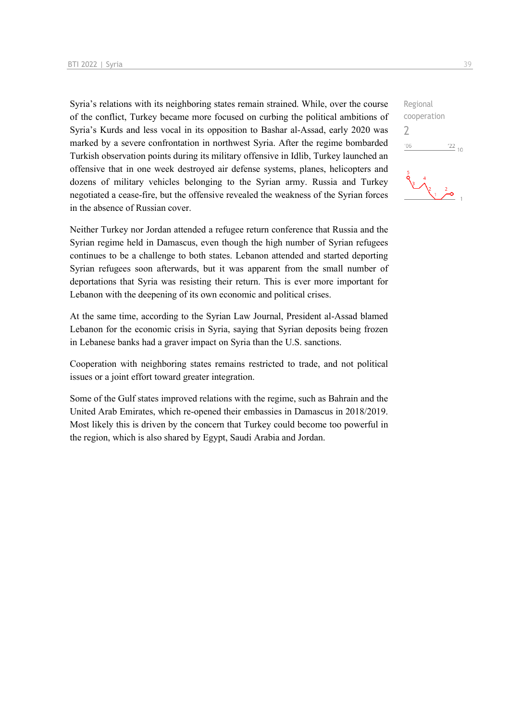Syria's relations with its neighboring states remain strained. While, over the course of the conflict, Turkey became more focused on curbing the political ambitions of Syria's Kurds and less vocal in its opposition to Bashar al-Assad, early 2020 was marked by a severe confrontation in northwest Syria. After the regime bombarded Turkish observation points during its military offensive in Idlib, Turkey launched an offensive that in one week destroyed air defense systems, planes, helicopters and dozens of military vehicles belonging to the Syrian army. Russia and Turkey negotiated a cease-fire, but the offensive revealed the weakness of the Syrian forces in the absence of Russian cover.

Neither Turkey nor Jordan attended a refugee return conference that Russia and the Syrian regime held in Damascus, even though the high number of Syrian refugees continues to be a challenge to both states. Lebanon attended and started deporting Syrian refugees soon afterwards, but it was apparent from the small number of deportations that Syria was resisting their return. This is ever more important for Lebanon with the deepening of its own economic and political crises.

At the same time, according to the Syrian Law Journal, President al-Assad blamed Lebanon for the economic crisis in Syria, saying that Syrian deposits being frozen in Lebanese banks had a graver impact on Syria than the U.S. sanctions.

Cooperation with neighboring states remains restricted to trade, and not political issues or a joint effort toward greater integration.

Some of the Gulf states improved relations with the regime, such as Bahrain and the United Arab Emirates, which re-opened their embassies in Damascus in 2018/2019. Most likely this is driven by the concern that Turkey could become too powerful in the region, which is also shared by Egypt, Saudi Arabia and Jordan.

Regional cooperation 2 $-06$  $\frac{22}{10}$  $\sqrt{\frac{2}{1-\rho}}$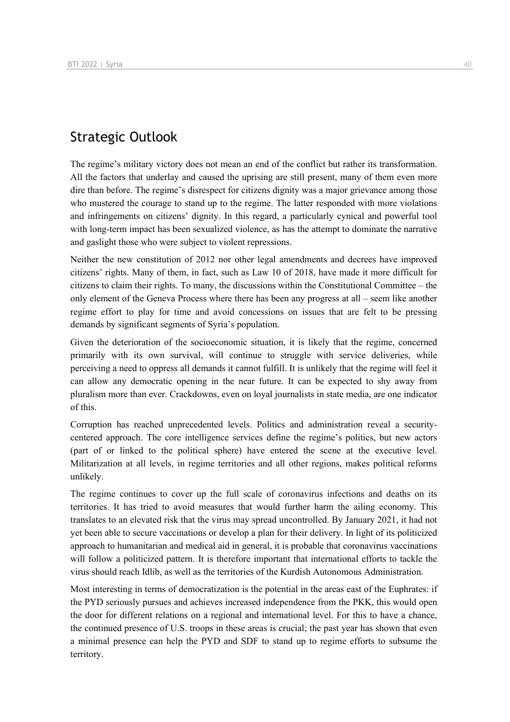# Strategic Outlook

The regime's military victory does not mean an end of the conflict but rather its transformation. All the factors that underlay and caused the uprising are still present, many of them even more dire than before. The regime's disrespect for citizens dignity was a major grievance among those who mustered the courage to stand up to the regime. The latter responded with more violations and infringements on citizens' dignity. In this regard, a particularly cynical and powerful tool with long-term impact has been sexualized violence, as has the attempt to dominate the narrative and gaslight those who were subject to violent repressions.

Neither the new constitution of 2012 nor other legal amendments and decrees have improved citizens' rights. Many of them, in fact, such as Law 10 of 2018, have made it more difficult for citizens to claim their rights. To many, the discussions within the Constitutional Committee – the only element of the Geneva Process where there has been any progress at all – seem like another regime effort to play for time and avoid concessions on issues that are felt to be pressing demands by significant segments of Syria's population.

Given the deterioration of the socioeconomic situation, it is likely that the regime, concerned primarily with its own survival, will continue to struggle with service deliveries, while perceiving a need to oppress all demands it cannot fulfill. It is unlikely that the regime will feel it can allow any democratic opening in the near future. It can be expected to shy away from pluralism more than ever. Crackdowns, even on loyal journalists in state media, are one indicator of this.

Corruption has reached unprecedented levels. Politics and administration reveal a securitycentered approach. The core intelligence services define the regime's politics, but new actors (part of or linked to the political sphere) have entered the scene at the executive level. Militarization at all levels, in regime territories and all other regions, makes political reforms unlikely.

The regime continues to cover up the full scale of coronavirus infections and deaths on its territories. It has tried to avoid measures that would further harm the ailing economy. This translates to an elevated risk that the virus may spread uncontrolled. By January 2021, it had not yet been able to secure vaccinations or develop a plan for their delivery. In light of its politicized approach to humanitarian and medical aid in general, it is probable that coronavirus vaccinations will follow a politicized pattern. It is therefore important that international efforts to tackle the virus should reach Idlib, as well as the territories of the Kurdish Autonomous Administration.

Most interesting in terms of democratization is the potential in the areas east of the Euphrates: if the PYD seriously pursues and achieves increased independence from the PKK, this would open the door for different relations on a regional and international level. For this to have a chance, the continued presence of U.S. troops in these areas is crucial; the past year has shown that even a minimal presence can help the PYD and SDF to stand up to regime efforts to subsume the territory.